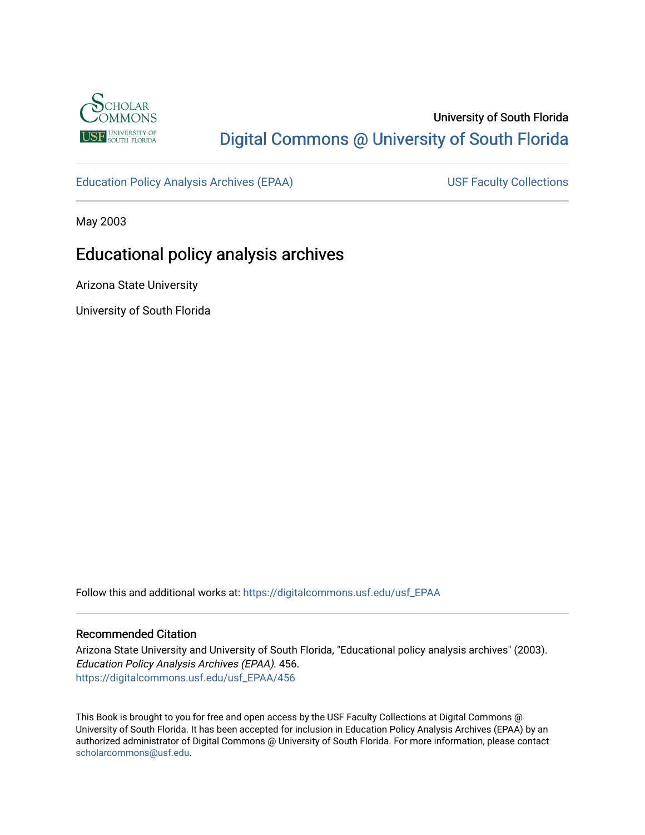

# University of South Florida [Digital Commons @ University of South Florida](https://digitalcommons.usf.edu/)

[Education Policy Analysis Archives \(EPAA\)](https://digitalcommons.usf.edu/usf_EPAA) USF Faculty Collections

May 2003

# Educational policy analysis archives

Arizona State University

University of South Florida

Follow this and additional works at: [https://digitalcommons.usf.edu/usf\\_EPAA](https://digitalcommons.usf.edu/usf_EPAA?utm_source=digitalcommons.usf.edu%2Fusf_EPAA%2F456&utm_medium=PDF&utm_campaign=PDFCoverPages)

#### Recommended Citation

Arizona State University and University of South Florida, "Educational policy analysis archives" (2003). Education Policy Analysis Archives (EPAA). 456. [https://digitalcommons.usf.edu/usf\\_EPAA/456](https://digitalcommons.usf.edu/usf_EPAA/456?utm_source=digitalcommons.usf.edu%2Fusf_EPAA%2F456&utm_medium=PDF&utm_campaign=PDFCoverPages)

This Book is brought to you for free and open access by the USF Faculty Collections at Digital Commons @ University of South Florida. It has been accepted for inclusion in Education Policy Analysis Archives (EPAA) by an authorized administrator of Digital Commons @ University of South Florida. For more information, please contact [scholarcommons@usf.edu.](mailto:scholarcommons@usf.edu)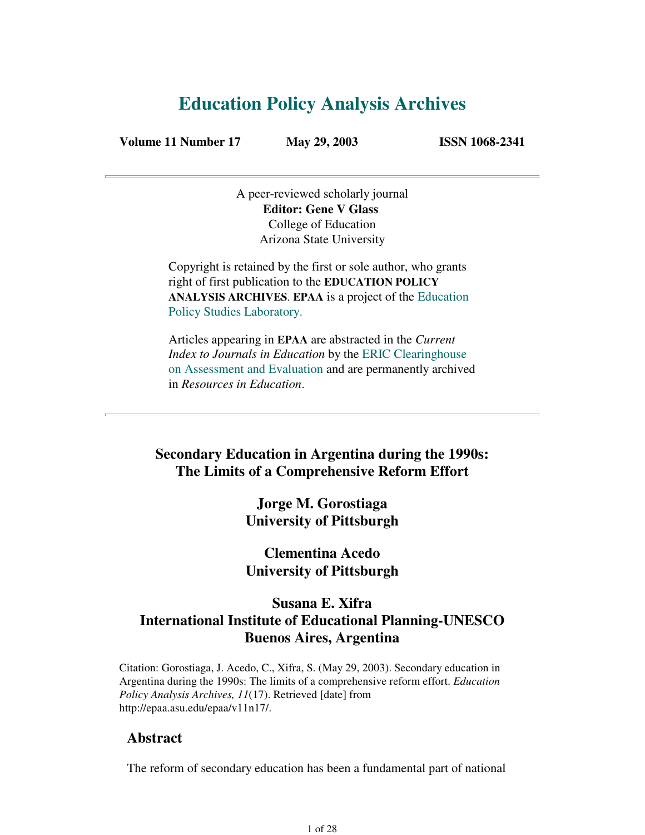# **Education Policy Analysis Archives**

**Volume 11 Number 17 May 29, 2003 ISSN 1068-2341**

A peer-reviewed scholarly journal **Editor: Gene V Glass** College of Education Arizona State University

Copyright is retained by the first or sole author, who grants right of first publication to the **EDUCATION POLICY ANALYSIS ARCHIVES**. **EPAA** is a project of the Education Policy Studies Laboratory.

Articles appearing in **EPAA** are abstracted in the *Current Index to Journals in Education* by the ERIC Clearinghouse on Assessment and Evaluation and are permanently archived in *Resources in Education*.

## **Secondary Education in Argentina during the 1990s: The Limits of a Comprehensive Reform Effort**

**Jorge M. Gorostiaga University of Pittsburgh**

## **Clementina Acedo University of Pittsburgh**

## **Susana E. Xifra International Institute of Educational Planning-UNESCO Buenos Aires, Argentina**

Citation: Gorostiaga, J. Acedo, C., Xifra, S. (May 29, 2003). Secondary education in Argentina during the 1990s: The limits of a comprehensive reform effort. *Education Policy Analysis Archives, 11*(17). Retrieved [date] from http://epaa.asu.edu/epaa/v11n17/.

### **Abstract**

The reform of secondary education has been a fundamental part of national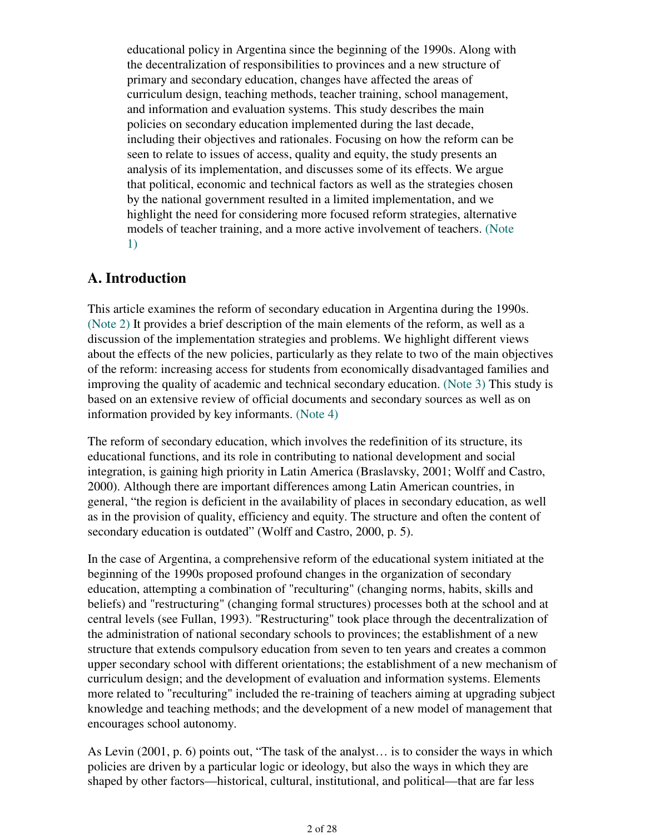educational policy in Argentina since the beginning of the 1990s. Along with the decentralization of responsibilities to provinces and a new structure of primary and secondary education, changes have affected the areas of curriculum design, teaching methods, teacher training, school management, and information and evaluation systems. This study describes the main policies on secondary education implemented during the last decade, including their objectives and rationales. Focusing on how the reform can be seen to relate to issues of access, quality and equity, the study presents an analysis of its implementation, and discusses some of its effects. We argue that political, economic and technical factors as well as the strategies chosen by the national government resulted in a limited implementation, and we highlight the need for considering more focused reform strategies, alternative models of teacher training, and a more active involvement of teachers. (Note 1)

## **A. Introduction**

This article examines the reform of secondary education in Argentina during the 1990s. (Note 2) It provides a brief description of the main elements of the reform, as well as a discussion of the implementation strategies and problems. We highlight different views about the effects of the new policies, particularly as they relate to two of the main objectives of the reform: increasing access for students from economically disadvantaged families and improving the quality of academic and technical secondary education. (Note 3) This study is based on an extensive review of official documents and secondary sources as well as on information provided by key informants. (Note 4)

The reform of secondary education, which involves the redefinition of its structure, its educational functions, and its role in contributing to national development and social integration, is gaining high priority in Latin America (Braslavsky, 2001; Wolff and Castro, 2000). Although there are important differences among Latin American countries, in general, "the region is deficient in the availability of places in secondary education, as well as in the provision of quality, efficiency and equity. The structure and often the content of secondary education is outdated" (Wolff and Castro, 2000, p. 5).

In the case of Argentina, a comprehensive reform of the educational system initiated at the beginning of the 1990s proposed profound changes in the organization of secondary education, attempting a combination of "reculturing" (changing norms, habits, skills and beliefs) and "restructuring" (changing formal structures) processes both at the school and at central levels (see Fullan, 1993). "Restructuring" took place through the decentralization of the administration of national secondary schools to provinces; the establishment of a new structure that extends compulsory education from seven to ten years and creates a common upper secondary school with different orientations; the establishment of a new mechanism of curriculum design; and the development of evaluation and information systems. Elements more related to "reculturing" included the re-training of teachers aiming at upgrading subject knowledge and teaching methods; and the development of a new model of management that encourages school autonomy.

As Levin (2001, p. 6) points out, "The task of the analyst… is to consider the ways in which policies are driven by a particular logic or ideology, but also the ways in which they are shaped by other factors—historical, cultural, institutional, and political—that are far less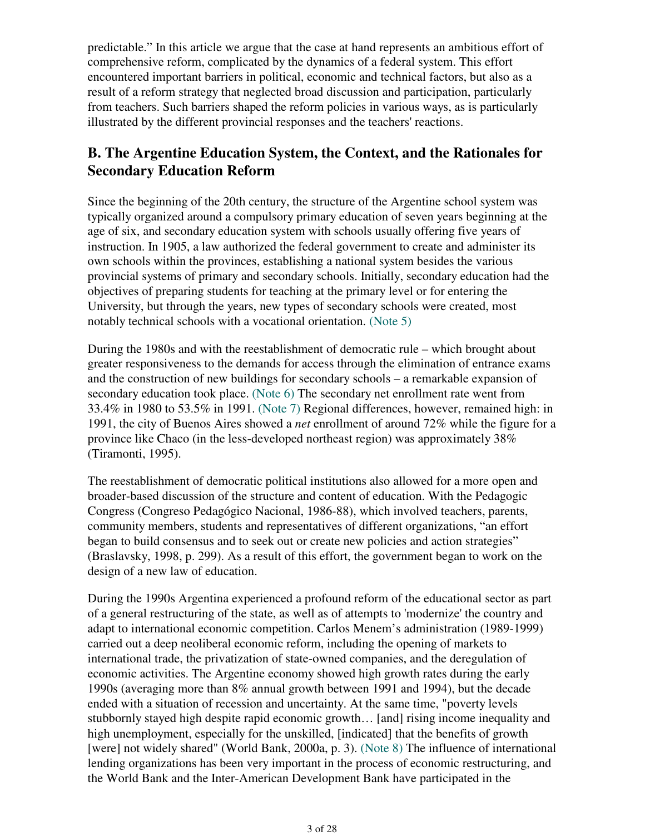predictable." In this article we argue that the case at hand represents an ambitious effort of comprehensive reform, complicated by the dynamics of a federal system. This effort encountered important barriers in political, economic and technical factors, but also as a result of a reform strategy that neglected broad discussion and participation, particularly from teachers. Such barriers shaped the reform policies in various ways, as is particularly illustrated by the different provincial responses and the teachers' reactions.

## **B. The Argentine Education System, the Context, and the Rationales for Secondary Education Reform**

Since the beginning of the 20th century, the structure of the Argentine school system was typically organized around a compulsory primary education of seven years beginning at the age of six, and secondary education system with schools usually offering five years of instruction. In 1905, a law authorized the federal government to create and administer its own schools within the provinces, establishing a national system besides the various provincial systems of primary and secondary schools. Initially, secondary education had the objectives of preparing students for teaching at the primary level or for entering the University, but through the years, new types of secondary schools were created, most notably technical schools with a vocational orientation. (Note 5)

During the 1980s and with the reestablishment of democratic rule – which brought about greater responsiveness to the demands for access through the elimination of entrance exams and the construction of new buildings for secondary schools – a remarkable expansion of secondary education took place. (Note 6) The secondary net enrollment rate went from 33.4% in 1980 to 53.5% in 1991. (Note 7) Regional differences, however, remained high: in 1991, the city of Buenos Aires showed a *net* enrollment of around 72% while the figure for a province like Chaco (in the less-developed northeast region) was approximately 38% (Tiramonti, 1995).

The reestablishment of democratic political institutions also allowed for a more open and broader-based discussion of the structure and content of education. With the Pedagogic Congress (Congreso Pedagógico Nacional, 1986-88), which involved teachers, parents, community members, students and representatives of different organizations, "an effort began to build consensus and to seek out or create new policies and action strategies" (Braslavsky, 1998, p. 299). As a result of this effort, the government began to work on the design of a new law of education.

During the 1990s Argentina experienced a profound reform of the educational sector as part of a general restructuring of the state, as well as of attempts to 'modernize' the country and adapt to international economic competition. Carlos Menem's administration (1989-1999) carried out a deep neoliberal economic reform, including the opening of markets to international trade, the privatization of state-owned companies, and the deregulation of economic activities. The Argentine economy showed high growth rates during the early 1990s (averaging more than 8% annual growth between 1991 and 1994), but the decade ended with a situation of recession and uncertainty. At the same time, "poverty levels stubbornly stayed high despite rapid economic growth… [and] rising income inequality and high unemployment, especially for the unskilled, [indicated] that the benefits of growth [were] not widely shared" (World Bank, 2000a, p. 3). (Note 8) The influence of international lending organizations has been very important in the process of economic restructuring, and the World Bank and the Inter-American Development Bank have participated in the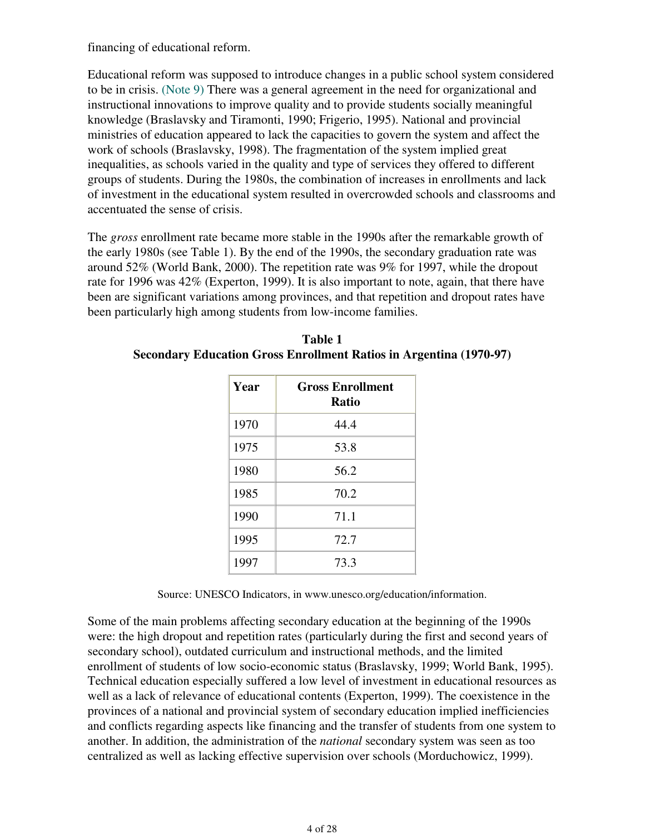financing of educational reform.

Educational reform was supposed to introduce changes in a public school system considered to be in crisis. (Note 9) There was a general agreement in the need for organizational and instructional innovations to improve quality and to provide students socially meaningful knowledge (Braslavsky and Tiramonti, 1990; Frigerio, 1995). National and provincial ministries of education appeared to lack the capacities to govern the system and affect the work of schools (Braslavsky, 1998). The fragmentation of the system implied great inequalities, as schools varied in the quality and type of services they offered to different groups of students. During the 1980s, the combination of increases in enrollments and lack of investment in the educational system resulted in overcrowded schools and classrooms and accentuated the sense of crisis.

The *gross* enrollment rate became more stable in the 1990s after the remarkable growth of the early 1980s (see Table 1). By the end of the 1990s, the secondary graduation rate was around 52% (World Bank, 2000). The repetition rate was 9% for 1997, while the dropout rate for 1996 was 42% (Experton, 1999). It is also important to note, again, that there have been are significant variations among provinces, and that repetition and dropout rates have been particularly high among students from low-income families.

| Year | <b>Gross Enrollment</b><br>Ratio |
|------|----------------------------------|
| 1970 | 44.4                             |
| 1975 | 53.8                             |
| 1980 | 56.2                             |
| 1985 | 70.2                             |
| 1990 | 71.1                             |
| 1995 | 72.7                             |
| 1997 | 73.3                             |

**Table 1 Secondary Education Gross Enrollment Ratios in Argentina (1970-97)**

Source: UNESCO Indicators, in www.unesco.org/education/information.

Some of the main problems affecting secondary education at the beginning of the 1990s were: the high dropout and repetition rates (particularly during the first and second years of secondary school), outdated curriculum and instructional methods, and the limited enrollment of students of low socio-economic status (Braslavsky, 1999; World Bank, 1995). Technical education especially suffered a low level of investment in educational resources as well as a lack of relevance of educational contents (Experton, 1999). The coexistence in the provinces of a national and provincial system of secondary education implied inefficiencies and conflicts regarding aspects like financing and the transfer of students from one system to another. In addition, the administration of the *national* secondary system was seen as too centralized as well as lacking effective supervision over schools (Morduchowicz, 1999).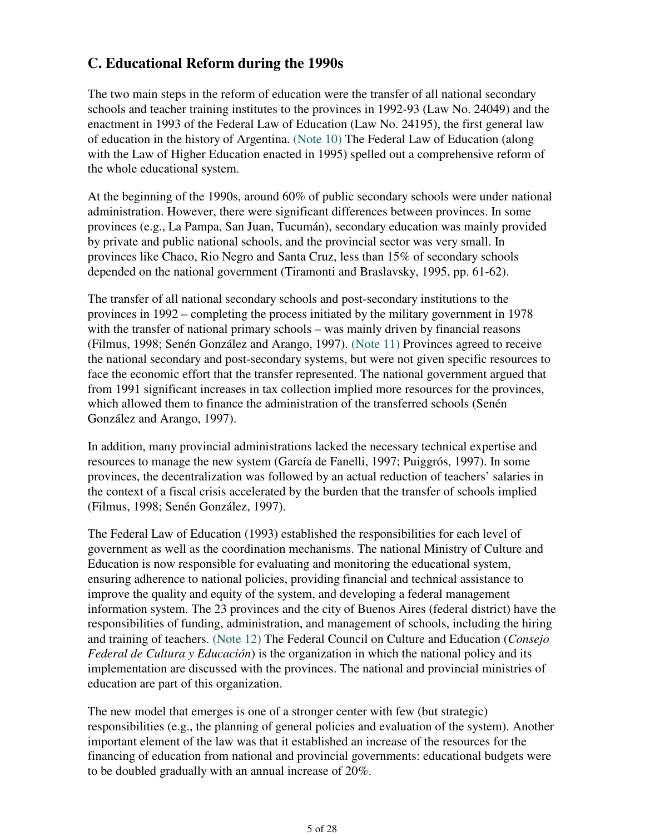# **C. Educational Reform during the 1990s**

The two main steps in the reform of education were the transfer of all national secondary schools and teacher training institutes to the provinces in 1992-93 (Law No. 24049) and the enactment in 1993 of the Federal Law of Education (Law No. 24195), the first general law of education in the history of Argentina. (Note 10) The Federal Law of Education (along with the Law of Higher Education enacted in 1995) spelled out a comprehensive reform of the whole educational system.

At the beginning of the 1990s, around 60% of public secondary schools were under national administration. However, there were significant differences between provinces. In some provinces (e.g., La Pampa, San Juan, Tucumán), secondary education was mainly provided by private and public national schools, and the provincial sector was very small. In provinces like Chaco, Rio Negro and Santa Cruz, less than 15% of secondary schools depended on the national government (Tiramonti and Braslavsky, 1995, pp. 61-62).

The transfer of all national secondary schools and post-secondary institutions to the provinces in 1992 – completing the process initiated by the military government in 1978 with the transfer of national primary schools – was mainly driven by financial reasons (Filmus, 1998; Senén González and Arango, 1997). (Note 11) Provinces agreed to receive the national secondary and post-secondary systems, but were not given specific resources to face the economic effort that the transfer represented. The national government argued that from 1991 significant increases in tax collection implied more resources for the provinces, which allowed them to finance the administration of the transferred schools (Senén González and Arango, 1997).

In addition, many provincial administrations lacked the necessary technical expertise and resources to manage the new system (García de Fanelli, 1997; Puiggrós, 1997). In some provinces, the decentralization was followed by an actual reduction of teachers' salaries in the context of a fiscal crisis accelerated by the burden that the transfer of schools implied (Filmus, 1998; Senén González, 1997).

The Federal Law of Education (1993) established the responsibilities for each level of government as well as the coordination mechanisms. The national Ministry of Culture and Education is now responsible for evaluating and monitoring the educational system, ensuring adherence to national policies, providing financial and technical assistance to improve the quality and equity of the system, and developing a federal management information system. The 23 provinces and the city of Buenos Aires (federal district) have the responsibilities of funding, administration, and management of schools, including the hiring and training of teachers. (Note 12) The Federal Council on Culture and Education (*Consejo Federal de Cultura y Educación*) is the organization in which the national policy and its implementation are discussed with the provinces. The national and provincial ministries of education are part of this organization.

The new model that emerges is one of a stronger center with few (but strategic) responsibilities (e.g., the planning of general policies and evaluation of the system). Another important element of the law was that it established an increase of the resources for the financing of education from national and provincial governments: educational budgets were to be doubled gradually with an annual increase of 20%.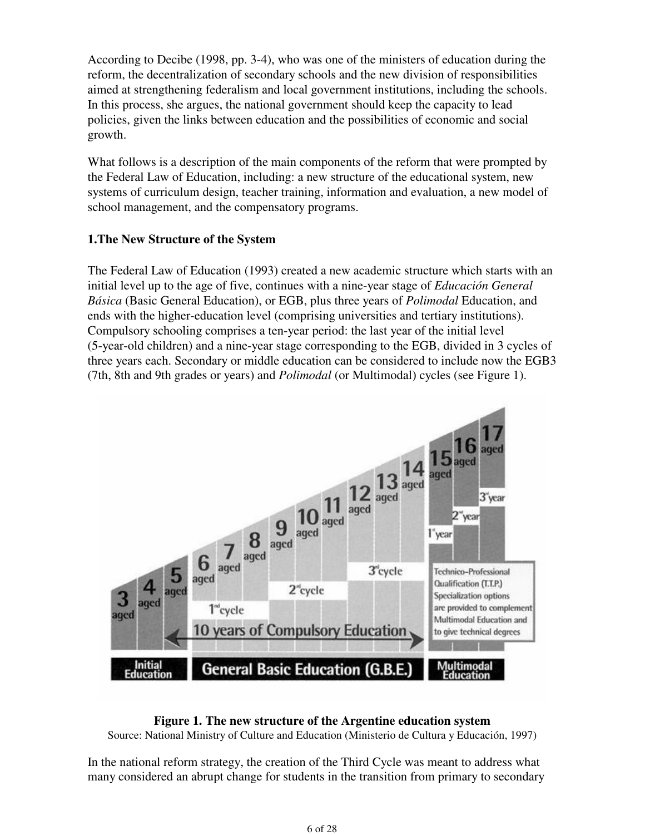According to Decibe (1998, pp. 3-4), who was one of the ministers of education during the reform, the decentralization of secondary schools and the new division of responsibilities aimed at strengthening federalism and local government institutions, including the schools. In this process, she argues, the national government should keep the capacity to lead policies, given the links between education and the possibilities of economic and social growth.

What follows is a description of the main components of the reform that were prompted by the Federal Law of Education, including: a new structure of the educational system, new systems of curriculum design, teacher training, information and evaluation, a new model of school management, and the compensatory programs.

### **1.The New Structure of the System**

The Federal Law of Education (1993) created a new academic structure which starts with an initial level up to the age of five, continues with a nine-year stage of *Educación General Básica* (Basic General Education), or EGB, plus three years of *Polimodal* Education, and ends with the higher-education level (comprising universities and tertiary institutions). Compulsory schooling comprises a ten-year period: the last year of the initial level (5-year-old children) and a nine-year stage corresponding to the EGB, divided in 3 cycles of three years each. Secondary or middle education can be considered to include now the EGB3 (7th, 8th and 9th grades or years) and *Polimodal* (or Multimodal) cycles (see Figure 1).



#### **Figure 1. The new structure of the Argentine education system**

Source: National Ministry of Culture and Education (Ministerio de Cultura y Educación, 1997)

In the national reform strategy, the creation of the Third Cycle was meant to address what many considered an abrupt change for students in the transition from primary to secondary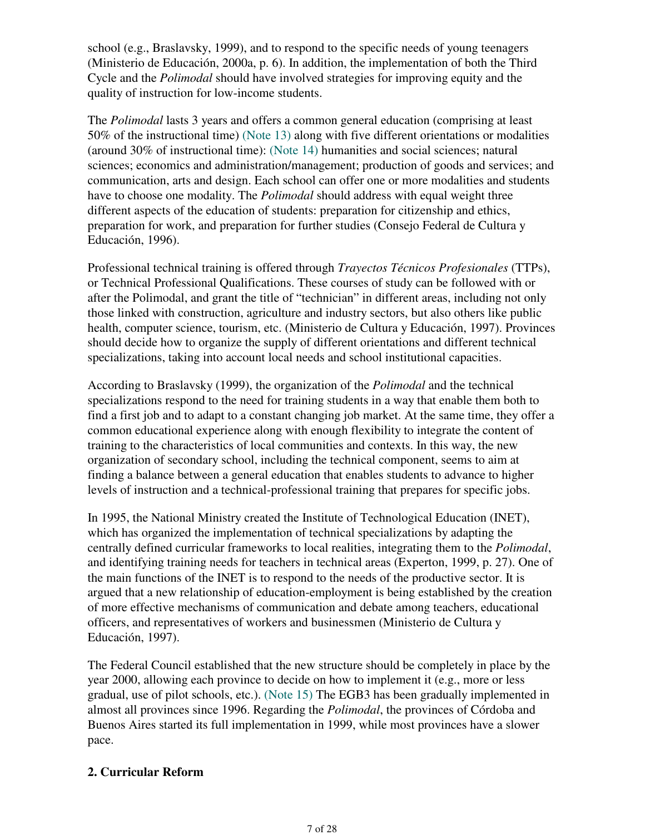school (e.g., Braslavsky, 1999), and to respond to the specific needs of young teenagers (Ministerio de Educación, 2000a, p. 6). In addition, the implementation of both the Third Cycle and the *Polimodal* should have involved strategies for improving equity and the quality of instruction for low-income students.

The *Polimodal* lasts 3 years and offers a common general education (comprising at least 50% of the instructional time) (Note 13) along with five different orientations or modalities (around 30% of instructional time): (Note 14) humanities and social sciences; natural sciences; economics and administration/management; production of goods and services; and communication, arts and design. Each school can offer one or more modalities and students have to choose one modality. The *Polimodal* should address with equal weight three different aspects of the education of students: preparation for citizenship and ethics, preparation for work, and preparation for further studies (Consejo Federal de Cultura y Educación, 1996).

Professional technical training is offered through *Trayectos Técnicos Profesionales* (TTPs), or Technical Professional Qualifications. These courses of study can be followed with or after the Polimodal, and grant the title of "technician" in different areas, including not only those linked with construction, agriculture and industry sectors, but also others like public health, computer science, tourism, etc. (Ministerio de Cultura y Educación, 1997). Provinces should decide how to organize the supply of different orientations and different technical specializations, taking into account local needs and school institutional capacities.

According to Braslavsky (1999), the organization of the *Polimodal* and the technical specializations respond to the need for training students in a way that enable them both to find a first job and to adapt to a constant changing job market. At the same time, they offer a common educational experience along with enough flexibility to integrate the content of training to the characteristics of local communities and contexts. In this way, the new organization of secondary school, including the technical component, seems to aim at finding a balance between a general education that enables students to advance to higher levels of instruction and a technical-professional training that prepares for specific jobs.

In 1995, the National Ministry created the Institute of Technological Education (INET), which has organized the implementation of technical specializations by adapting the centrally defined curricular frameworks to local realities, integrating them to the *Polimodal*, and identifying training needs for teachers in technical areas (Experton, 1999, p. 27). One of the main functions of the INET is to respond to the needs of the productive sector. It is argued that a new relationship of education-employment is being established by the creation of more effective mechanisms of communication and debate among teachers, educational officers, and representatives of workers and businessmen (Ministerio de Cultura y Educación, 1997).

The Federal Council established that the new structure should be completely in place by the year 2000, allowing each province to decide on how to implement it (e.g., more or less gradual, use of pilot schools, etc.). (Note 15) The EGB3 has been gradually implemented in almost all provinces since 1996. Regarding the *Polimodal*, the provinces of Córdoba and Buenos Aires started its full implementation in 1999, while most provinces have a slower pace.

### **2. Curricular Reform**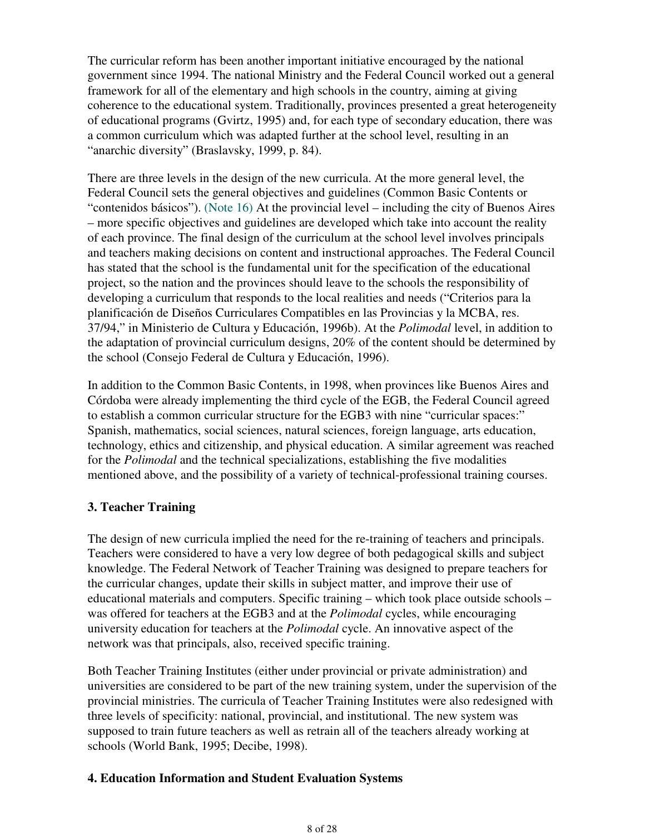The curricular reform has been another important initiative encouraged by the national government since 1994. The national Ministry and the Federal Council worked out a general framework for all of the elementary and high schools in the country, aiming at giving coherence to the educational system. Traditionally, provinces presented a great heterogeneity of educational programs (Gvirtz, 1995) and, for each type of secondary education, there was a common curriculum which was adapted further at the school level, resulting in an "anarchic diversity" (Braslavsky, 1999, p. 84).

There are three levels in the design of the new curricula. At the more general level, the Federal Council sets the general objectives and guidelines (Common Basic Contents or "contenidos básicos"). (Note 16) At the provincial level – including the city of Buenos Aires – more specific objectives and guidelines are developed which take into account the reality of each province. The final design of the curriculum at the school level involves principals and teachers making decisions on content and instructional approaches. The Federal Council has stated that the school is the fundamental unit for the specification of the educational project, so the nation and the provinces should leave to the schools the responsibility of developing a curriculum that responds to the local realities and needs ("Criterios para la planificación de Diseños Curriculares Compatibles en las Provincias y la MCBA, res. 37/94," in Ministerio de Cultura y Educación, 1996b). At the *Polimodal* level, in addition to the adaptation of provincial curriculum designs, 20% of the content should be determined by the school (Consejo Federal de Cultura y Educación, 1996).

In addition to the Common Basic Contents, in 1998, when provinces like Buenos Aires and Córdoba were already implementing the third cycle of the EGB, the Federal Council agreed to establish a common curricular structure for the EGB3 with nine "curricular spaces:" Spanish, mathematics, social sciences, natural sciences, foreign language, arts education, technology, ethics and citizenship, and physical education. A similar agreement was reached for the *Polimodal* and the technical specializations, establishing the five modalities mentioned above, and the possibility of a variety of technical-professional training courses.

### **3. Teacher Training**

The design of new curricula implied the need for the re-training of teachers and principals. Teachers were considered to have a very low degree of both pedagogical skills and subject knowledge. The Federal Network of Teacher Training was designed to prepare teachers for the curricular changes, update their skills in subject matter, and improve their use of educational materials and computers. Specific training – which took place outside schools – was offered for teachers at the EGB3 and at the *Polimodal* cycles, while encouraging university education for teachers at the *Polimodal* cycle. An innovative aspect of the network was that principals, also, received specific training.

Both Teacher Training Institutes (either under provincial or private administration) and universities are considered to be part of the new training system, under the supervision of the provincial ministries. The curricula of Teacher Training Institutes were also redesigned with three levels of specificity: national, provincial, and institutional. The new system was supposed to train future teachers as well as retrain all of the teachers already working at schools (World Bank, 1995; Decibe, 1998).

### **4. Education Information and Student Evaluation Systems**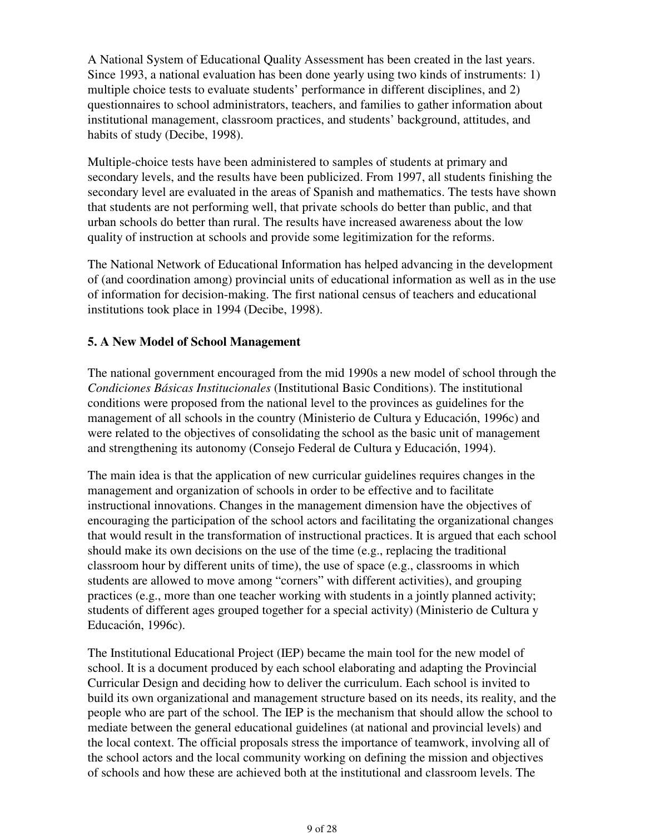A National System of Educational Quality Assessment has been created in the last years. Since 1993, a national evaluation has been done yearly using two kinds of instruments: 1) multiple choice tests to evaluate students' performance in different disciplines, and 2) questionnaires to school administrators, teachers, and families to gather information about institutional management, classroom practices, and students' background, attitudes, and habits of study (Decibe, 1998).

Multiple-choice tests have been administered to samples of students at primary and secondary levels, and the results have been publicized. From 1997, all students finishing the secondary level are evaluated in the areas of Spanish and mathematics. The tests have shown that students are not performing well, that private schools do better than public, and that urban schools do better than rural. The results have increased awareness about the low quality of instruction at schools and provide some legitimization for the reforms.

The National Network of Educational Information has helped advancing in the development of (and coordination among) provincial units of educational information as well as in the use of information for decision-making. The first national census of teachers and educational institutions took place in 1994 (Decibe, 1998).

### **5. A New Model of School Management**

The national government encouraged from the mid 1990s a new model of school through the *Condiciones Básicas Institucionales* (Institutional Basic Conditions). The institutional conditions were proposed from the national level to the provinces as guidelines for the management of all schools in the country (Ministerio de Cultura y Educación, 1996c) and were related to the objectives of consolidating the school as the basic unit of management and strengthening its autonomy (Consejo Federal de Cultura y Educación, 1994).

The main idea is that the application of new curricular guidelines requires changes in the management and organization of schools in order to be effective and to facilitate instructional innovations. Changes in the management dimension have the objectives of encouraging the participation of the school actors and facilitating the organizational changes that would result in the transformation of instructional practices. It is argued that each school should make its own decisions on the use of the time (e.g., replacing the traditional classroom hour by different units of time), the use of space (e.g., classrooms in which students are allowed to move among "corners" with different activities), and grouping practices (e.g., more than one teacher working with students in a jointly planned activity; students of different ages grouped together for a special activity) (Ministerio de Cultura y Educación, 1996c).

The Institutional Educational Project (IEP) became the main tool for the new model of school. It is a document produced by each school elaborating and adapting the Provincial Curricular Design and deciding how to deliver the curriculum. Each school is invited to build its own organizational and management structure based on its needs, its reality, and the people who are part of the school. The IEP is the mechanism that should allow the school to mediate between the general educational guidelines (at national and provincial levels) and the local context. The official proposals stress the importance of teamwork, involving all of the school actors and the local community working on defining the mission and objectives of schools and how these are achieved both at the institutional and classroom levels. The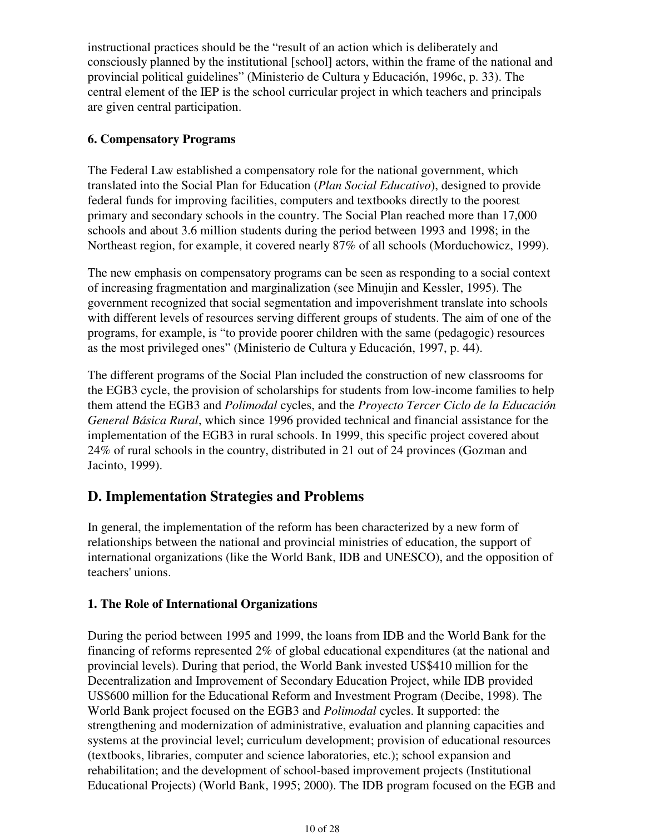instructional practices should be the "result of an action which is deliberately and consciously planned by the institutional [school] actors, within the frame of the national and provincial political guidelines" (Ministerio de Cultura y Educación, 1996c, p. 33). The central element of the IEP is the school curricular project in which teachers and principals are given central participation.

### **6. Compensatory Programs**

The Federal Law established a compensatory role for the national government, which translated into the Social Plan for Education (*Plan Social Educativo*), designed to provide federal funds for improving facilities, computers and textbooks directly to the poorest primary and secondary schools in the country. The Social Plan reached more than 17,000 schools and about 3.6 million students during the period between 1993 and 1998; in the Northeast region, for example, it covered nearly 87% of all schools (Morduchowicz, 1999).

The new emphasis on compensatory programs can be seen as responding to a social context of increasing fragmentation and marginalization (see Minujin and Kessler, 1995). The government recognized that social segmentation and impoverishment translate into schools with different levels of resources serving different groups of students. The aim of one of the programs, for example, is "to provide poorer children with the same (pedagogic) resources as the most privileged ones" (Ministerio de Cultura y Educación, 1997, p. 44).

The different programs of the Social Plan included the construction of new classrooms for the EGB3 cycle, the provision of scholarships for students from low-income families to help them attend the EGB3 and *Polimodal* cycles, and the *Proyecto Tercer Ciclo de la Educación General Básica Rural*, which since 1996 provided technical and financial assistance for the implementation of the EGB3 in rural schools. In 1999, this specific project covered about 24% of rural schools in the country, distributed in 21 out of 24 provinces (Gozman and Jacinto, 1999).

# **D. Implementation Strategies and Problems**

In general, the implementation of the reform has been characterized by a new form of relationships between the national and provincial ministries of education, the support of international organizations (like the World Bank, IDB and UNESCO), and the opposition of teachers' unions.

## **1. The Role of International Organizations**

During the period between 1995 and 1999, the loans from IDB and the World Bank for the financing of reforms represented 2% of global educational expenditures (at the national and provincial levels). During that period, the World Bank invested US\$410 million for the Decentralization and Improvement of Secondary Education Project, while IDB provided US\$600 million for the Educational Reform and Investment Program (Decibe, 1998). The World Bank project focused on the EGB3 and *Polimodal* cycles. It supported: the strengthening and modernization of administrative, evaluation and planning capacities and systems at the provincial level; curriculum development; provision of educational resources (textbooks, libraries, computer and science laboratories, etc.); school expansion and rehabilitation; and the development of school-based improvement projects (Institutional Educational Projects) (World Bank, 1995; 2000). The IDB program focused on the EGB and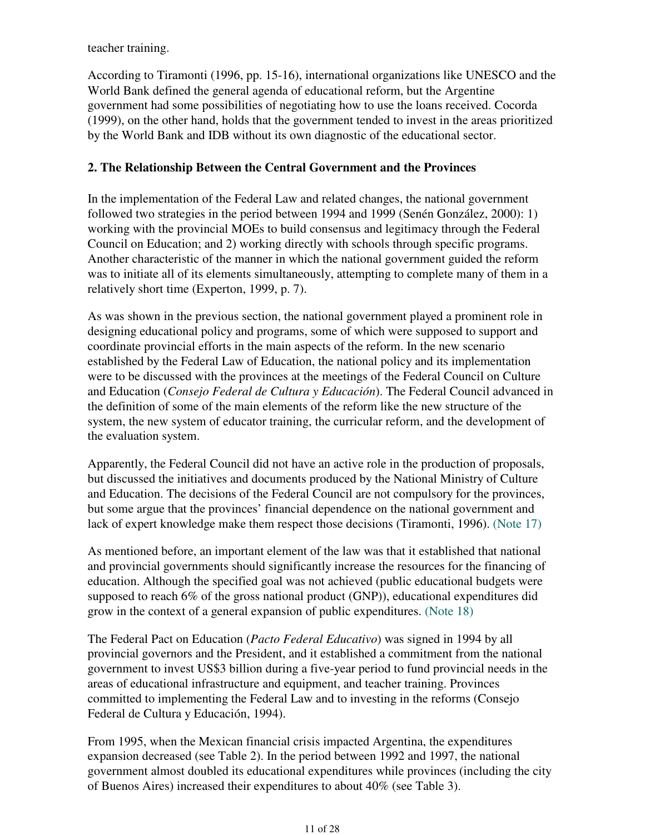teacher training.

According to Tiramonti (1996, pp. 15-16), international organizations like UNESCO and the World Bank defined the general agenda of educational reform, but the Argentine government had some possibilities of negotiating how to use the loans received. Cocorda (1999), on the other hand, holds that the government tended to invest in the areas prioritized by the World Bank and IDB without its own diagnostic of the educational sector.

#### **2. The Relationship Between the Central Government and the Provinces**

In the implementation of the Federal Law and related changes, the national government followed two strategies in the period between 1994 and 1999 (Senén González, 2000): 1) working with the provincial MOEs to build consensus and legitimacy through the Federal Council on Education; and 2) working directly with schools through specific programs. Another characteristic of the manner in which the national government guided the reform was to initiate all of its elements simultaneously, attempting to complete many of them in a relatively short time (Experton, 1999, p. 7).

As was shown in the previous section, the national government played a prominent role in designing educational policy and programs, some of which were supposed to support and coordinate provincial efforts in the main aspects of the reform. In the new scenario established by the Federal Law of Education, the national policy and its implementation were to be discussed with the provinces at the meetings of the Federal Council on Culture and Education (*Consejo Federal de Cultura y Educación*). The Federal Council advanced in the definition of some of the main elements of the reform like the new structure of the system, the new system of educator training, the curricular reform, and the development of the evaluation system.

Apparently, the Federal Council did not have an active role in the production of proposals, but discussed the initiatives and documents produced by the National Ministry of Culture and Education. The decisions of the Federal Council are not compulsory for the provinces, but some argue that the provinces' financial dependence on the national government and lack of expert knowledge make them respect those decisions (Tiramonti, 1996). (Note 17)

As mentioned before, an important element of the law was that it established that national and provincial governments should significantly increase the resources for the financing of education. Although the specified goal was not achieved (public educational budgets were supposed to reach 6% of the gross national product (GNP)), educational expenditures did grow in the context of a general expansion of public expenditures. (Note 18)

The Federal Pact on Education (*Pacto Federal Educativo*) was signed in 1994 by all provincial governors and the President, and it established a commitment from the national government to invest US\$3 billion during a five-year period to fund provincial needs in the areas of educational infrastructure and equipment, and teacher training. Provinces committed to implementing the Federal Law and to investing in the reforms (Consejo Federal de Cultura y Educación, 1994).

From 1995, when the Mexican financial crisis impacted Argentina, the expenditures expansion decreased (see Table 2). In the period between 1992 and 1997, the national government almost doubled its educational expenditures while provinces (including the city of Buenos Aires) increased their expenditures to about 40% (see Table 3).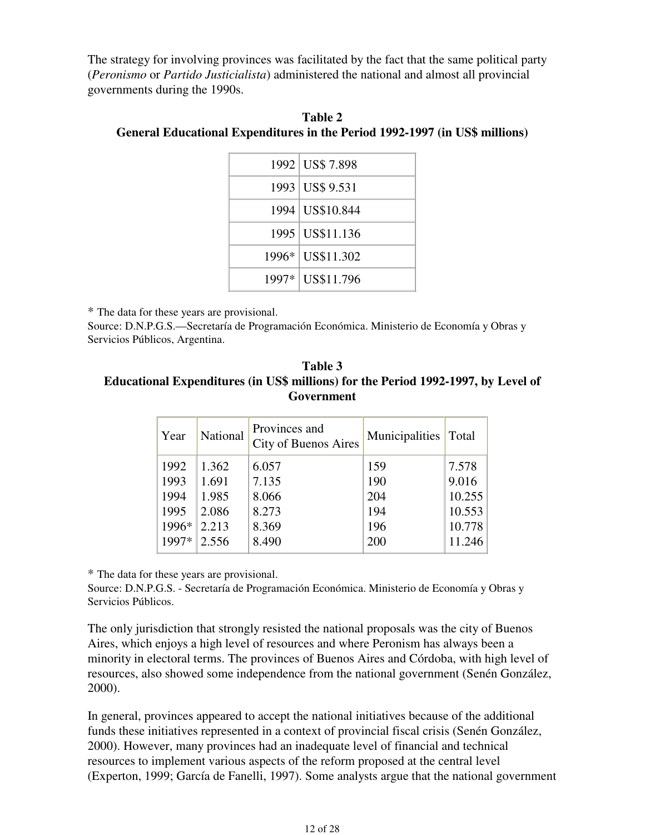The strategy for involving provinces was facilitated by the fact that the same political party (*Peronismo* or *Partido Justicialista*) administered the national and almost all provincial governments during the 1990s.

| 1992 US\$ 7.898   |
|-------------------|
| 1993 US\$ 9.531   |
| 1994 US\$10.844   |
| 1995   US\$11.136 |
| 1996* US\$11.302  |
| 1997* US\$11.796  |

**Table 2 General Educational Expenditures in the Period 1992-1997 (in US\$ millions)**

\* The data for these years are provisional.

Source: D.N.P.G.S.—Secretaría de Programación Económica. Ministerio de Economía y Obras y Servicios Públicos, Argentina.

**Table 3 Educational Expenditures (in US\$ millions) for the Period 1992-1997, by Level of Government**

| Year                                  | National                                  | Provinces and<br>City of Buenos Aires     | Municipalities                  | Total                                        |
|---------------------------------------|-------------------------------------------|-------------------------------------------|---------------------------------|----------------------------------------------|
| 1992<br>1993<br>1994<br>1995<br>1996* | 1.362<br>1.691<br>1.985<br>2.086<br>2.213 | 6.057<br>7.135<br>8.066<br>8.273<br>8.369 | 159<br>190<br>204<br>194<br>196 | 7.578<br>9.016<br>10.255<br>10.553<br>10.778 |
| 1997*                                 | 2.556                                     | 8.490                                     | 200                             | 11.246                                       |

\* The data for these years are provisional.

Source: D.N.P.G.S. - Secretaría de Programación Económica. Ministerio de Economía y Obras y Servicios Públicos.

The only jurisdiction that strongly resisted the national proposals was the city of Buenos Aires, which enjoys a high level of resources and where Peronism has always been a minority in electoral terms. The provinces of Buenos Aires and Córdoba, with high level of resources, also showed some independence from the national government (Senén González, 2000).

In general, provinces appeared to accept the national initiatives because of the additional funds these initiatives represented in a context of provincial fiscal crisis (Senén González, 2000). However, many provinces had an inadequate level of financial and technical resources to implement various aspects of the reform proposed at the central level (Experton, 1999; García de Fanelli, 1997). Some analysts argue that the national government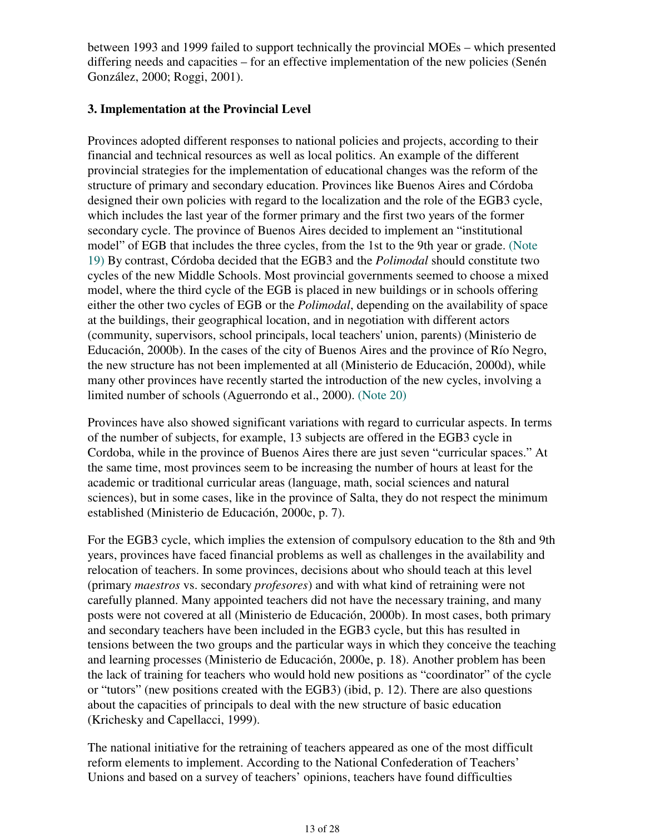between 1993 and 1999 failed to support technically the provincial MOEs – which presented differing needs and capacities – for an effective implementation of the new policies (Senén González, 2000; Roggi, 2001).

#### **3. Implementation at the Provincial Level**

Provinces adopted different responses to national policies and projects, according to their financial and technical resources as well as local politics. An example of the different provincial strategies for the implementation of educational changes was the reform of the structure of primary and secondary education. Provinces like Buenos Aires and Córdoba designed their own policies with regard to the localization and the role of the EGB3 cycle, which includes the last year of the former primary and the first two years of the former secondary cycle. The province of Buenos Aires decided to implement an "institutional model" of EGB that includes the three cycles, from the 1st to the 9th year or grade. (Note 19) By contrast, Córdoba decided that the EGB3 and the *Polimodal* should constitute two cycles of the new Middle Schools. Most provincial governments seemed to choose a mixed model, where the third cycle of the EGB is placed in new buildings or in schools offering either the other two cycles of EGB or the *Polimodal*, depending on the availability of space at the buildings, their geographical location, and in negotiation with different actors (community, supervisors, school principals, local teachers' union, parents) (Ministerio de Educación, 2000b). In the cases of the city of Buenos Aires and the province of Río Negro, the new structure has not been implemented at all (Ministerio de Educación, 2000d), while many other provinces have recently started the introduction of the new cycles, involving a limited number of schools (Aguerrondo et al., 2000). (Note 20)

Provinces have also showed significant variations with regard to curricular aspects. In terms of the number of subjects, for example, 13 subjects are offered in the EGB3 cycle in Cordoba, while in the province of Buenos Aires there are just seven "curricular spaces." At the same time, most provinces seem to be increasing the number of hours at least for the academic or traditional curricular areas (language, math, social sciences and natural sciences), but in some cases, like in the province of Salta, they do not respect the minimum established (Ministerio de Educación, 2000c, p. 7).

For the EGB3 cycle, which implies the extension of compulsory education to the 8th and 9th years, provinces have faced financial problems as well as challenges in the availability and relocation of teachers. In some provinces, decisions about who should teach at this level (primary *maestros* vs. secondary *profesores*) and with what kind of retraining were not carefully planned. Many appointed teachers did not have the necessary training, and many posts were not covered at all (Ministerio de Educación, 2000b). In most cases, both primary and secondary teachers have been included in the EGB3 cycle, but this has resulted in tensions between the two groups and the particular ways in which they conceive the teaching and learning processes (Ministerio de Educación, 2000e, p. 18). Another problem has been the lack of training for teachers who would hold new positions as "coordinator" of the cycle or "tutors" (new positions created with the EGB3) (ibid, p. 12). There are also questions about the capacities of principals to deal with the new structure of basic education (Krichesky and Capellacci, 1999).

The national initiative for the retraining of teachers appeared as one of the most difficult reform elements to implement. According to the National Confederation of Teachers' Unions and based on a survey of teachers' opinions, teachers have found difficulties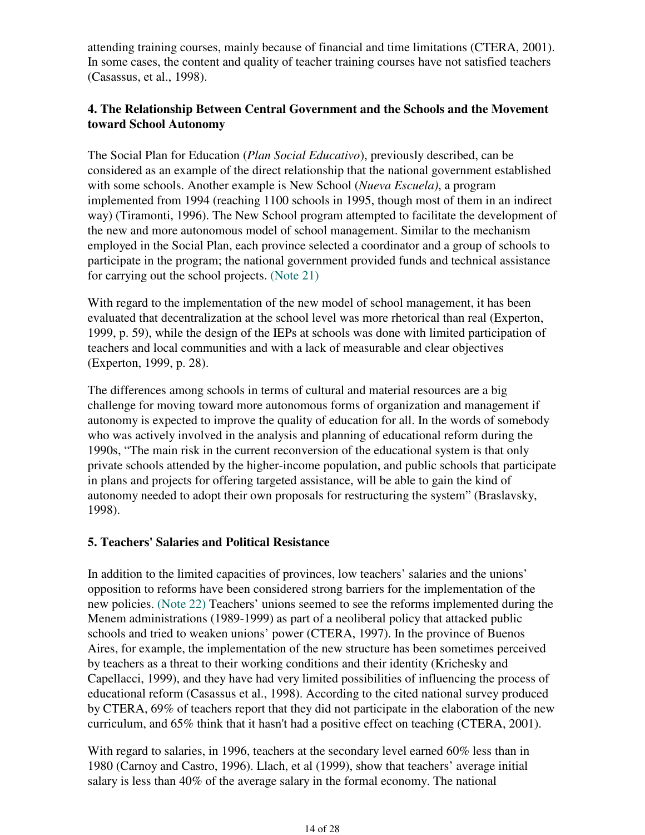attending training courses, mainly because of financial and time limitations (CTERA, 2001). In some cases, the content and quality of teacher training courses have not satisfied teachers (Casassus, et al., 1998).

### **4. The Relationship Between Central Government and the Schools and the Movement toward School Autonomy**

The Social Plan for Education (*Plan Social Educativo*), previously described, can be considered as an example of the direct relationship that the national government established with some schools. Another example is New School (*Nueva Escuela)*, a program implemented from 1994 (reaching 1100 schools in 1995, though most of them in an indirect way) (Tiramonti, 1996). The New School program attempted to facilitate the development of the new and more autonomous model of school management. Similar to the mechanism employed in the Social Plan, each province selected a coordinator and a group of schools to participate in the program; the national government provided funds and technical assistance for carrying out the school projects. (Note 21)

With regard to the implementation of the new model of school management, it has been evaluated that decentralization at the school level was more rhetorical than real (Experton, 1999, p. 59), while the design of the IEPs at schools was done with limited participation of teachers and local communities and with a lack of measurable and clear objectives (Experton, 1999, p. 28).

The differences among schools in terms of cultural and material resources are a big challenge for moving toward more autonomous forms of organization and management if autonomy is expected to improve the quality of education for all. In the words of somebody who was actively involved in the analysis and planning of educational reform during the 1990s, "The main risk in the current reconversion of the educational system is that only private schools attended by the higher-income population, and public schools that participate in plans and projects for offering targeted assistance, will be able to gain the kind of autonomy needed to adopt their own proposals for restructuring the system" (Braslavsky, 1998).

#### **5. Teachers' Salaries and Political Resistance**

In addition to the limited capacities of provinces, low teachers' salaries and the unions' opposition to reforms have been considered strong barriers for the implementation of the new policies. (Note 22) Teachers' unions seemed to see the reforms implemented during the Menem administrations (1989-1999) as part of a neoliberal policy that attacked public schools and tried to weaken unions' power (CTERA, 1997). In the province of Buenos Aires, for example, the implementation of the new structure has been sometimes perceived by teachers as a threat to their working conditions and their identity (Krichesky and Capellacci, 1999), and they have had very limited possibilities of influencing the process of educational reform (Casassus et al., 1998). According to the cited national survey produced by CTERA, 69% of teachers report that they did not participate in the elaboration of the new curriculum, and 65% think that it hasn't had a positive effect on teaching (CTERA, 2001).

With regard to salaries, in 1996, teachers at the secondary level earned 60% less than in 1980 (Carnoy and Castro, 1996). Llach, et al (1999), show that teachers' average initial salary is less than 40% of the average salary in the formal economy. The national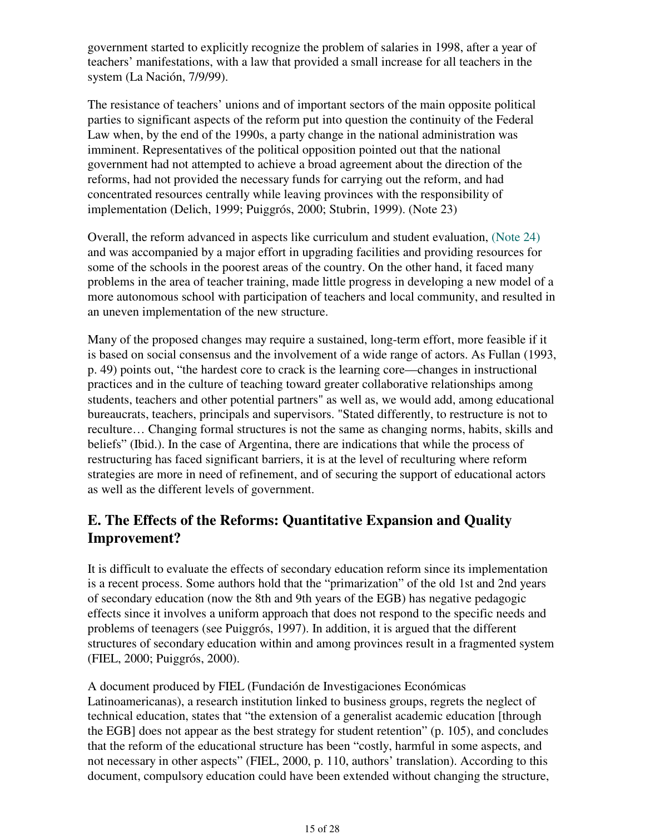government started to explicitly recognize the problem of salaries in 1998, after a year of teachers' manifestations, with a law that provided a small increase for all teachers in the system (La Nación, 7/9/99).

The resistance of teachers' unions and of important sectors of the main opposite political parties to significant aspects of the reform put into question the continuity of the Federal Law when, by the end of the 1990s, a party change in the national administration was imminent. Representatives of the political opposition pointed out that the national government had not attempted to achieve a broad agreement about the direction of the reforms, had not provided the necessary funds for carrying out the reform, and had concentrated resources centrally while leaving provinces with the responsibility of implementation (Delich, 1999; Puiggrós, 2000; Stubrin, 1999). (Note 23)

Overall, the reform advanced in aspects like curriculum and student evaluation, (Note 24) and was accompanied by a major effort in upgrading facilities and providing resources for some of the schools in the poorest areas of the country. On the other hand, it faced many problems in the area of teacher training, made little progress in developing a new model of a more autonomous school with participation of teachers and local community, and resulted in an uneven implementation of the new structure.

Many of the proposed changes may require a sustained, long-term effort, more feasible if it is based on social consensus and the involvement of a wide range of actors. As Fullan (1993, p. 49) points out, "the hardest core to crack is the learning core—changes in instructional practices and in the culture of teaching toward greater collaborative relationships among students, teachers and other potential partners" as well as, we would add, among educational bureaucrats, teachers, principals and supervisors. "Stated differently, to restructure is not to reculture… Changing formal structures is not the same as changing norms, habits, skills and beliefs" (Ibid.). In the case of Argentina, there are indications that while the process of restructuring has faced significant barriers, it is at the level of reculturing where reform strategies are more in need of refinement, and of securing the support of educational actors as well as the different levels of government.

## **E. The Effects of the Reforms: Quantitative Expansion and Quality Improvement?**

It is difficult to evaluate the effects of secondary education reform since its implementation is a recent process. Some authors hold that the "primarization" of the old 1st and 2nd years of secondary education (now the 8th and 9th years of the EGB) has negative pedagogic effects since it involves a uniform approach that does not respond to the specific needs and problems of teenagers (see Puiggrós, 1997). In addition, it is argued that the different structures of secondary education within and among provinces result in a fragmented system (FIEL, 2000; Puiggrós, 2000).

A document produced by FIEL (Fundación de Investigaciones Económicas Latinoamericanas), a research institution linked to business groups, regrets the neglect of technical education, states that "the extension of a generalist academic education [through the EGB] does not appear as the best strategy for student retention" (p. 105), and concludes that the reform of the educational structure has been "costly, harmful in some aspects, and not necessary in other aspects" (FIEL, 2000, p. 110, authors' translation). According to this document, compulsory education could have been extended without changing the structure,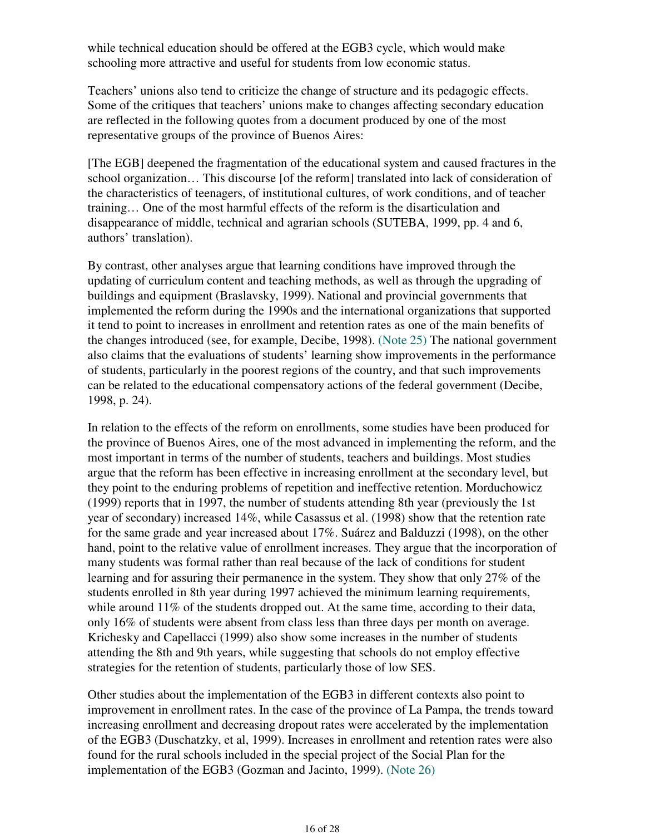while technical education should be offered at the EGB3 cycle, which would make schooling more attractive and useful for students from low economic status.

Teachers' unions also tend to criticize the change of structure and its pedagogic effects. Some of the critiques that teachers' unions make to changes affecting secondary education are reflected in the following quotes from a document produced by one of the most representative groups of the province of Buenos Aires:

[The EGB] deepened the fragmentation of the educational system and caused fractures in the school organization… This discourse [of the reform] translated into lack of consideration of the characteristics of teenagers, of institutional cultures, of work conditions, and of teacher training… One of the most harmful effects of the reform is the disarticulation and disappearance of middle, technical and agrarian schools (SUTEBA, 1999, pp. 4 and 6, authors' translation).

By contrast, other analyses argue that learning conditions have improved through the updating of curriculum content and teaching methods, as well as through the upgrading of buildings and equipment (Braslavsky, 1999). National and provincial governments that implemented the reform during the 1990s and the international organizations that supported it tend to point to increases in enrollment and retention rates as one of the main benefits of the changes introduced (see, for example, Decibe, 1998). (Note 25) The national government also claims that the evaluations of students' learning show improvements in the performance of students, particularly in the poorest regions of the country, and that such improvements can be related to the educational compensatory actions of the federal government (Decibe, 1998, p. 24).

In relation to the effects of the reform on enrollments, some studies have been produced for the province of Buenos Aires, one of the most advanced in implementing the reform, and the most important in terms of the number of students, teachers and buildings. Most studies argue that the reform has been effective in increasing enrollment at the secondary level, but they point to the enduring problems of repetition and ineffective retention. Morduchowicz (1999) reports that in 1997, the number of students attending 8th year (previously the 1st year of secondary) increased 14%, while Casassus et al. (1998) show that the retention rate for the same grade and year increased about 17%. Suárez and Balduzzi (1998), on the other hand, point to the relative value of enrollment increases. They argue that the incorporation of many students was formal rather than real because of the lack of conditions for student learning and for assuring their permanence in the system. They show that only 27% of the students enrolled in 8th year during 1997 achieved the minimum learning requirements, while around 11% of the students dropped out. At the same time, according to their data, only 16% of students were absent from class less than three days per month on average. Krichesky and Capellacci (1999) also show some increases in the number of students attending the 8th and 9th years, while suggesting that schools do not employ effective strategies for the retention of students, particularly those of low SES.

Other studies about the implementation of the EGB3 in different contexts also point to improvement in enrollment rates. In the case of the province of La Pampa, the trends toward increasing enrollment and decreasing dropout rates were accelerated by the implementation of the EGB3 (Duschatzky, et al, 1999). Increases in enrollment and retention rates were also found for the rural schools included in the special project of the Social Plan for the implementation of the EGB3 (Gozman and Jacinto, 1999). (Note 26)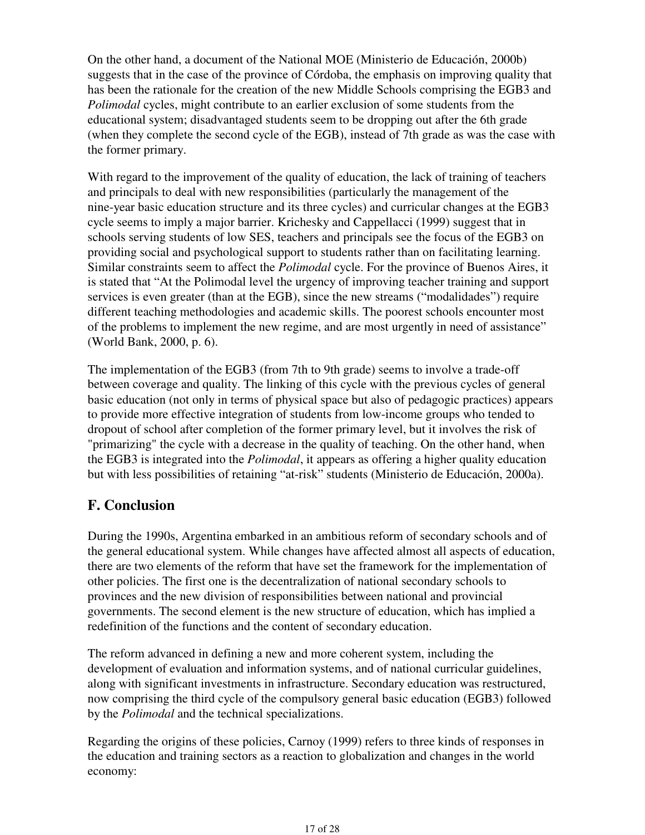On the other hand, a document of the National MOE (Ministerio de Educación, 2000b) suggests that in the case of the province of Córdoba, the emphasis on improving quality that has been the rationale for the creation of the new Middle Schools comprising the EGB3 and *Polimodal* cycles, might contribute to an earlier exclusion of some students from the educational system; disadvantaged students seem to be dropping out after the 6th grade (when they complete the second cycle of the EGB), instead of 7th grade as was the case with the former primary.

With regard to the improvement of the quality of education, the lack of training of teachers and principals to deal with new responsibilities (particularly the management of the nine-year basic education structure and its three cycles) and curricular changes at the EGB3 cycle seems to imply a major barrier. Krichesky and Cappellacci (1999) suggest that in schools serving students of low SES, teachers and principals see the focus of the EGB3 on providing social and psychological support to students rather than on facilitating learning. Similar constraints seem to affect the *Polimodal* cycle. For the province of Buenos Aires, it is stated that "At the Polimodal level the urgency of improving teacher training and support services is even greater (than at the EGB), since the new streams ("modalidades") require different teaching methodologies and academic skills. The poorest schools encounter most of the problems to implement the new regime, and are most urgently in need of assistance" (World Bank, 2000, p. 6).

The implementation of the EGB3 (from 7th to 9th grade) seems to involve a trade-off between coverage and quality. The linking of this cycle with the previous cycles of general basic education (not only in terms of physical space but also of pedagogic practices) appears to provide more effective integration of students from low-income groups who tended to dropout of school after completion of the former primary level, but it involves the risk of "primarizing" the cycle with a decrease in the quality of teaching. On the other hand, when the EGB3 is integrated into the *Polimodal*, it appears as offering a higher quality education but with less possibilities of retaining "at-risk" students (Ministerio de Educación, 2000a).

## **F. Conclusion**

During the 1990s, Argentina embarked in an ambitious reform of secondary schools and of the general educational system. While changes have affected almost all aspects of education, there are two elements of the reform that have set the framework for the implementation of other policies. The first one is the decentralization of national secondary schools to provinces and the new division of responsibilities between national and provincial governments. The second element is the new structure of education, which has implied a redefinition of the functions and the content of secondary education.

The reform advanced in defining a new and more coherent system, including the development of evaluation and information systems, and of national curricular guidelines, along with significant investments in infrastructure. Secondary education was restructured, now comprising the third cycle of the compulsory general basic education (EGB3) followed by the *Polimodal* and the technical specializations.

Regarding the origins of these policies, Carnoy (1999) refers to three kinds of responses in the education and training sectors as a reaction to globalization and changes in the world economy: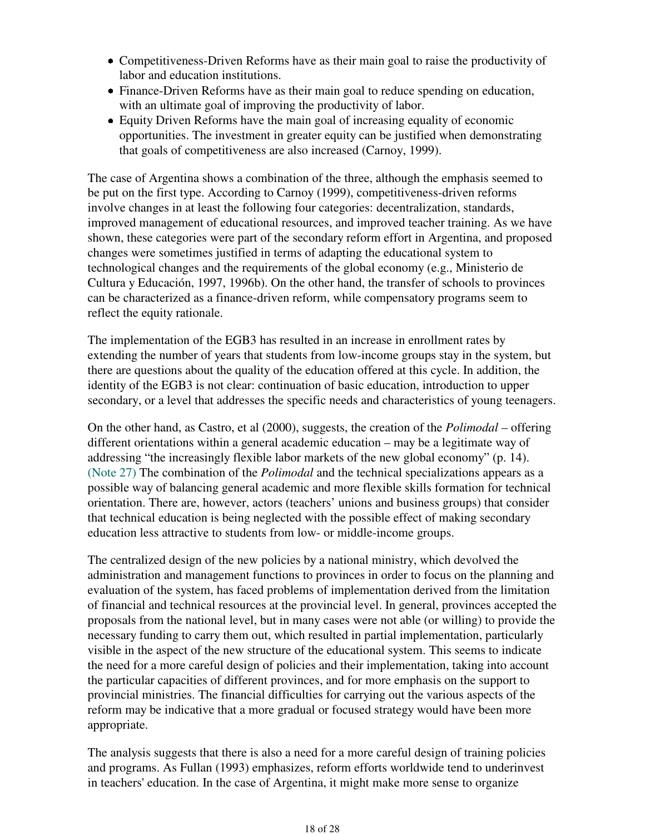- Competitiveness-Driven Reforms have as their main goal to raise the productivity of labor and education institutions.
- Finance-Driven Reforms have as their main goal to reduce spending on education, with an ultimate goal of improving the productivity of labor.
- Equity Driven Reforms have the main goal of increasing equality of economic opportunities. The investment in greater equity can be justified when demonstrating that goals of competitiveness are also increased (Carnoy, 1999).

The case of Argentina shows a combination of the three, although the emphasis seemed to be put on the first type. According to Carnoy (1999), competitiveness-driven reforms involve changes in at least the following four categories: decentralization, standards, improved management of educational resources, and improved teacher training. As we have shown, these categories were part of the secondary reform effort in Argentina, and proposed changes were sometimes justified in terms of adapting the educational system to technological changes and the requirements of the global economy (e.g., Ministerio de Cultura y Educación, 1997, 1996b). On the other hand, the transfer of schools to provinces can be characterized as a finance-driven reform, while compensatory programs seem to reflect the equity rationale.

The implementation of the EGB3 has resulted in an increase in enrollment rates by extending the number of years that students from low-income groups stay in the system, but there are questions about the quality of the education offered at this cycle. In addition, the identity of the EGB3 is not clear: continuation of basic education, introduction to upper secondary, or a level that addresses the specific needs and characteristics of young teenagers.

On the other hand, as Castro, et al (2000), suggests, the creation of the *Polimodal* – offering different orientations within a general academic education – may be a legitimate way of addressing "the increasingly flexible labor markets of the new global economy" (p. 14). (Note 27) The combination of the *Polimodal* and the technical specializations appears as a possible way of balancing general academic and more flexible skills formation for technical orientation. There are, however, actors (teachers' unions and business groups) that consider that technical education is being neglected with the possible effect of making secondary education less attractive to students from low- or middle-income groups.

The centralized design of the new policies by a national ministry, which devolved the administration and management functions to provinces in order to focus on the planning and evaluation of the system, has faced problems of implementation derived from the limitation of financial and technical resources at the provincial level. In general, provinces accepted the proposals from the national level, but in many cases were not able (or willing) to provide the necessary funding to carry them out, which resulted in partial implementation, particularly visible in the aspect of the new structure of the educational system. This seems to indicate the need for a more careful design of policies and their implementation, taking into account the particular capacities of different provinces, and for more emphasis on the support to provincial ministries. The financial difficulties for carrying out the various aspects of the reform may be indicative that a more gradual or focused strategy would have been more appropriate.

The analysis suggests that there is also a need for a more careful design of training policies and programs. As Fullan (1993) emphasizes, reform efforts worldwide tend to underinvest in teachers' education. In the case of Argentina, it might make more sense to organize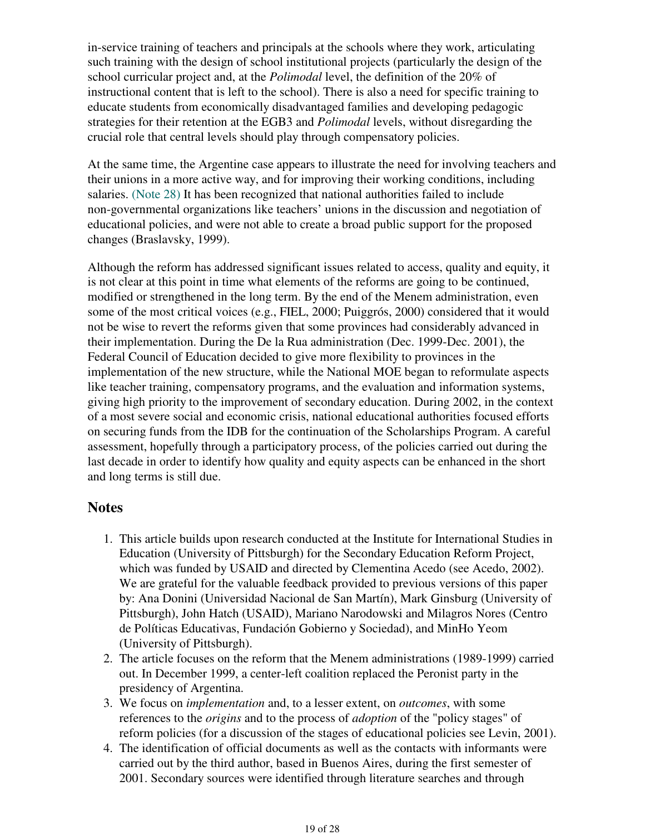in-service training of teachers and principals at the schools where they work, articulating such training with the design of school institutional projects (particularly the design of the school curricular project and, at the *Polimodal* level, the definition of the 20% of instructional content that is left to the school). There is also a need for specific training to educate students from economically disadvantaged families and developing pedagogic strategies for their retention at the EGB3 and *Polimodal* levels, without disregarding the crucial role that central levels should play through compensatory policies.

At the same time, the Argentine case appears to illustrate the need for involving teachers and their unions in a more active way, and for improving their working conditions, including salaries. (Note 28) It has been recognized that national authorities failed to include non-governmental organizations like teachers' unions in the discussion and negotiation of educational policies, and were not able to create a broad public support for the proposed changes (Braslavsky, 1999).

Although the reform has addressed significant issues related to access, quality and equity, it is not clear at this point in time what elements of the reforms are going to be continued, modified or strengthened in the long term. By the end of the Menem administration, even some of the most critical voices (e.g., FIEL, 2000; Puiggrós, 2000) considered that it would not be wise to revert the reforms given that some provinces had considerably advanced in their implementation. During the De la Rua administration (Dec. 1999-Dec. 2001), the Federal Council of Education decided to give more flexibility to provinces in the implementation of the new structure, while the National MOE began to reformulate aspects like teacher training, compensatory programs, and the evaluation and information systems, giving high priority to the improvement of secondary education. During 2002, in the context of a most severe social and economic crisis, national educational authorities focused efforts on securing funds from the IDB for the continuation of the Scholarships Program. A careful assessment, hopefully through a participatory process, of the policies carried out during the last decade in order to identify how quality and equity aspects can be enhanced in the short and long terms is still due.

### **Notes**

- 1. This article builds upon research conducted at the Institute for International Studies in Education (University of Pittsburgh) for the Secondary Education Reform Project, which was funded by USAID and directed by Clementina Acedo (see Acedo, 2002). We are grateful for the valuable feedback provided to previous versions of this paper by: Ana Donini (Universidad Nacional de San Martín), Mark Ginsburg (University of Pittsburgh), John Hatch (USAID), Mariano Narodowski and Milagros Nores (Centro de Políticas Educativas, Fundación Gobierno y Sociedad), and MinHo Yeom (University of Pittsburgh).
- 2. The article focuses on the reform that the Menem administrations (1989-1999) carried out. In December 1999, a center-left coalition replaced the Peronist party in the presidency of Argentina.
- We focus on *implementation* and, to a lesser extent, on *outcomes*, with some 3. references to the *origins* and to the process of *adoption* of the "policy stages" of reform policies (for a discussion of the stages of educational policies see Levin, 2001).
- The identification of official documents as well as the contacts with informants were 4.carried out by the third author, based in Buenos Aires, during the first semester of 2001. Secondary sources were identified through literature searches and through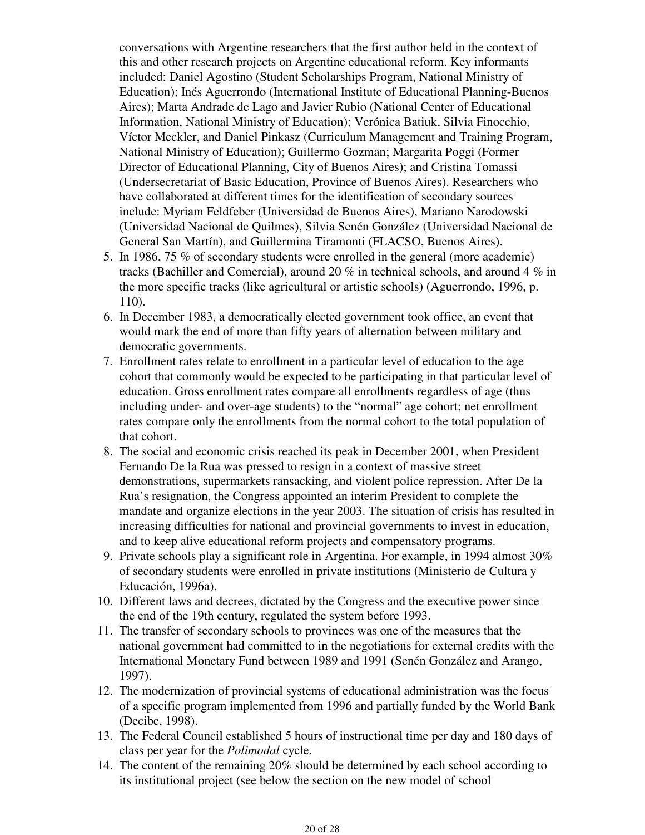conversations with Argentine researchers that the first author held in the context of this and other research projects on Argentine educational reform. Key informants included: Daniel Agostino (Student Scholarships Program, National Ministry of Education); Inés Aguerrondo (International Institute of Educational Planning-Buenos Aires); Marta Andrade de Lago and Javier Rubio (National Center of Educational Information, National Ministry of Education); Verónica Batiuk, Silvia Finocchio, Víctor Meckler, and Daniel Pinkasz (Curriculum Management and Training Program, National Ministry of Education); Guillermo Gozman; Margarita Poggi (Former Director of Educational Planning, City of Buenos Aires); and Cristina Tomassi (Undersecretariat of Basic Education, Province of Buenos Aires). Researchers who have collaborated at different times for the identification of secondary sources include: Myriam Feldfeber (Universidad de Buenos Aires), Mariano Narodowski (Universidad Nacional de Quilmes), Silvia Senén González (Universidad Nacional de General San Martín), and Guillermina Tiramonti (FLACSO, Buenos Aires).

- 5. In 1986, 75 % of secondary students were enrolled in the general (more academic) tracks (Bachiller and Comercial), around 20 % in technical schools, and around 4 % in the more specific tracks (like agricultural or artistic schools) (Aguerrondo, 1996, p. 110).
- 6. In December 1983, a democratically elected government took office, an event that would mark the end of more than fifty years of alternation between military and democratic governments.
- 7. Enrollment rates relate to enrollment in a particular level of education to the age cohort that commonly would be expected to be participating in that particular level of education. Gross enrollment rates compare all enrollments regardless of age (thus including under- and over-age students) to the "normal" age cohort; net enrollment rates compare only the enrollments from the normal cohort to the total population of that cohort.
- The social and economic crisis reached its peak in December 2001, when President 8. Fernando De la Rua was pressed to resign in a context of massive street demonstrations, supermarkets ransacking, and violent police repression. After De la Rua's resignation, the Congress appointed an interim President to complete the mandate and organize elections in the year 2003. The situation of crisis has resulted in increasing difficulties for national and provincial governments to invest in education, and to keep alive educational reform projects and compensatory programs.
- 9. Private schools play a significant role in Argentina. For example, in 1994 almost  $30\%$ of secondary students were enrolled in private institutions (Ministerio de Cultura y Educación, 1996a).
- 10. Different laws and decrees, dictated by the Congress and the executive power since the end of the 19th century, regulated the system before 1993.
- 11. The transfer of secondary schools to provinces was one of the measures that the national government had committed to in the negotiations for external credits with the International Monetary Fund between 1989 and 1991 (Senén González and Arango, 1997).
- 12. The modernization of provincial systems of educational administration was the focus of a specific program implemented from 1996 and partially funded by the World Bank (Decibe, 1998).
- 13. The Federal Council established 5 hours of instructional time per day and 180 days of class per year for the *Polimodal* cycle.
- 14. The content of the remaining 20% should be determined by each school according to its institutional project (see below the section on the new model of school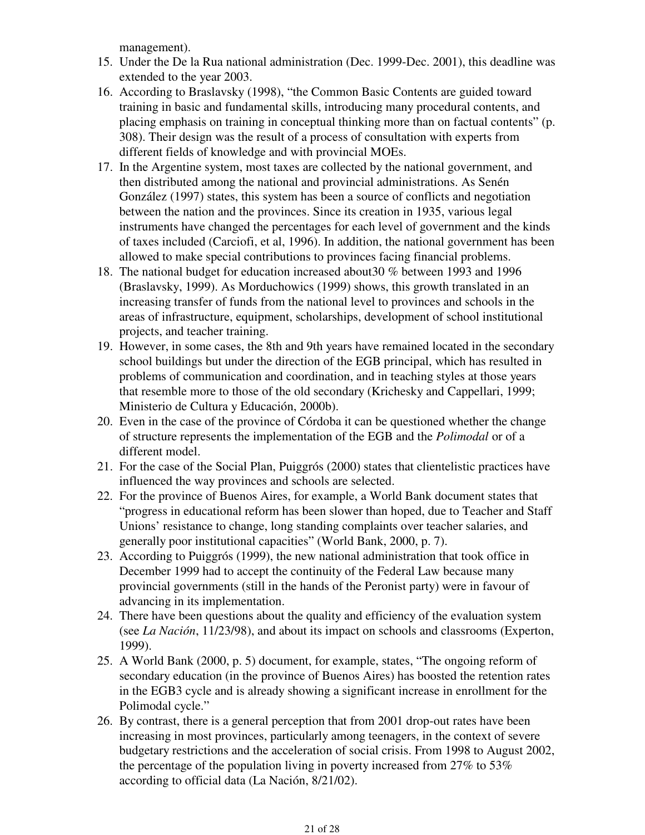management).

- 15. Under the De la Rua national administration (Dec. 1999-Dec. 2001), this deadline was extended to the year 2003.
- 16. According to Braslavsky (1998), "the Common Basic Contents are guided toward training in basic and fundamental skills, introducing many procedural contents, and placing emphasis on training in conceptual thinking more than on factual contents" (p. 308). Their design was the result of a process of consultation with experts from different fields of knowledge and with provincial MOEs.
- 17. In the Argentine system, most taxes are collected by the national government, and then distributed among the national and provincial administrations. As Senén González (1997) states, this system has been a source of conflicts and negotiation between the nation and the provinces. Since its creation in 1935, various legal instruments have changed the percentages for each level of government and the kinds of taxes included (Carciofi, et al, 1996). In addition, the national government has been allowed to make special contributions to provinces facing financial problems.
- 18. The national budget for education increased about 30 % between 1993 and 1996 (Braslavsky, 1999). As Morduchowics (1999) shows, this growth translated in an increasing transfer of funds from the national level to provinces and schools in the areas of infrastructure, equipment, scholarships, development of school institutional projects, and teacher training.
- 19. However, in some cases, the 8th and 9th years have remained located in the secondary school buildings but under the direction of the EGB principal, which has resulted in problems of communication and coordination, and in teaching styles at those years that resemble more to those of the old secondary (Krichesky and Cappellari, 1999; Ministerio de Cultura y Educación, 2000b).
- Even in the case of the province of Córdoba it can be questioned whether the change 20. of structure represents the implementation of the EGB and the *Polimodal* or of a different model.
- 21. For the case of the Social Plan, Puiggrós (2000) states that clientelistic practices have influenced the way provinces and schools are selected.
- 22. For the province of Buenos Aires, for example, a World Bank document states that "progress in educational reform has been slower than hoped, due to Teacher and Staff Unions' resistance to change, long standing complaints over teacher salaries, and generally poor institutional capacities" (World Bank, 2000, p. 7).
- 23. According to Puiggrós (1999), the new national administration that took office in December 1999 had to accept the continuity of the Federal Law because many provincial governments (still in the hands of the Peronist party) were in favour of advancing in its implementation.
- There have been questions about the quality and efficiency of the evaluation system 24. (see *La Nación*, 11/23/98), and about its impact on schools and classrooms (Experton, 1999).
- 25. A World Bank (2000, p. 5) document, for example, states, "The ongoing reform of secondary education (in the province of Buenos Aires) has boosted the retention rates in the EGB3 cycle and is already showing a significant increase in enrollment for the Polimodal cycle."
- 26. By contrast, there is a general perception that from 2001 drop-out rates have been increasing in most provinces, particularly among teenagers, in the context of severe budgetary restrictions and the acceleration of social crisis. From 1998 to August 2002, the percentage of the population living in poverty increased from 27% to 53% according to official data (La Nación, 8/21/02).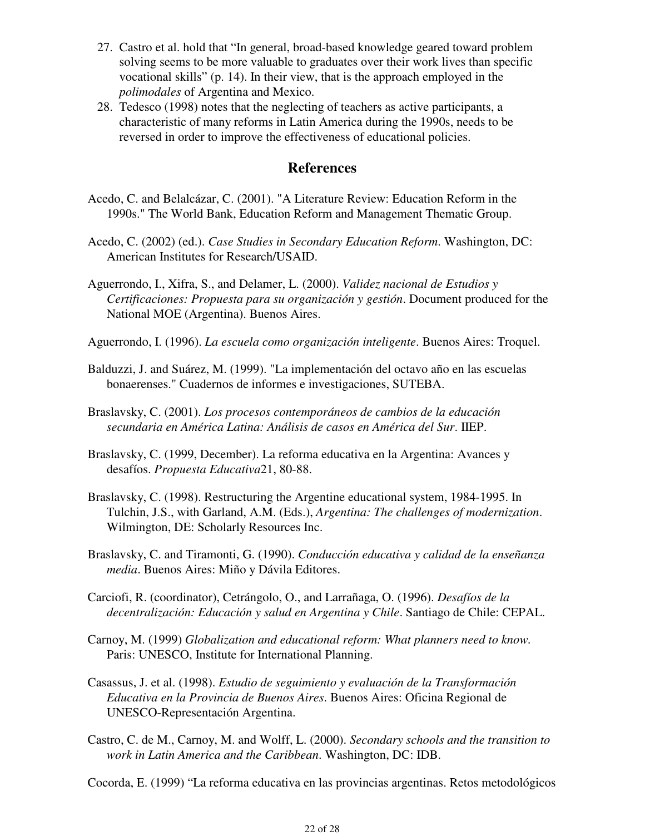- 27. Castro et al. hold that "In general, broad-based knowledge geared toward problem solving seems to be more valuable to graduates over their work lives than specific vocational skills" (p. 14). In their view, that is the approach employed in the *polimodales* of Argentina and Mexico.
- Tedesco (1998) notes that the neglecting of teachers as active participants, a 28. characteristic of many reforms in Latin America during the 1990s, needs to be reversed in order to improve the effectiveness of educational policies.

#### **References**

- Acedo, C. and Belalcázar, C. (2001). "A Literature Review: Education Reform in the 1990s." The World Bank, Education Reform and Management Thematic Group.
- Acedo, C. (2002) (ed.). *Case Studies in Secondary Education Reform*. Washington, DC: American Institutes for Research/USAID.
- Aguerrondo, I., Xifra, S., and Delamer, L. (2000). *Validez nacional de Estudios y Certificaciones: Propuesta para su organización y gestión*. Document produced for the National MOE (Argentina). Buenos Aires.
- Aguerrondo, I. (1996). *La escuela como organización inteligente*. Buenos Aires: Troquel.
- Balduzzi, J. and Suárez, M. (1999). "La implementación del octavo año en las escuelas bonaerenses." Cuadernos de informes e investigaciones, SUTEBA.
- Braslavsky, C. (2001). *Los procesos contemporáneos de cambios de la educación secundaria en América Latina: Análisis de casos en América del Sur*. IIEP.
- Braslavsky, C. (1999, December). La reforma educativa en la Argentina: Avances y desafíos. *Propuesta Educativa*21, 80-88.
- Braslavsky, C. (1998). Restructuring the Argentine educational system, 1984-1995. In Tulchin, J.S., with Garland, A.M. (Eds.), *Argentina: The challenges of modernization*. Wilmington, DE: Scholarly Resources Inc.
- Braslavsky, C. and Tiramonti, G. (1990). *Conducción educativa y calidad de la enseñanza media*. Buenos Aires: Miño y Dávila Editores.
- Carciofi, R. (coordinator), Cetrángolo, O., and Larrañaga, O. (1996). *Desafíos de la decentralización: Educación y salud en Argentina y Chile*. Santiago de Chile: CEPAL.
- Carnoy, M. (1999) *Globalization and educational reform: What planners need to know.* Paris: UNESCO, Institute for International Planning.
- Casassus, J. et al. (1998). *Estudio de seguimiento y evaluación de la Transformación Educativa en la Provincia de Buenos Aires*. Buenos Aires: Oficina Regional de UNESCO-Representación Argentina.
- Castro, C. de M., Carnoy, M. and Wolff, L. (2000). *Secondary schools and the transition to work in Latin America and the Caribbean*. Washington, DC: IDB.

Cocorda, E. (1999) "La reforma educativa en las provincias argentinas. Retos metodológicos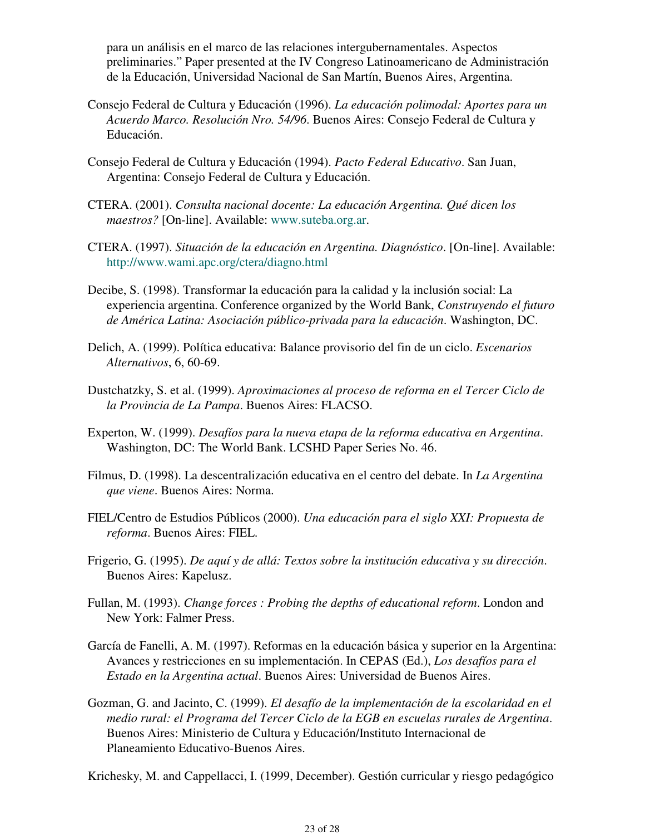para un análisis en el marco de las relaciones intergubernamentales. Aspectos preliminaries." Paper presented at the IV Congreso Latinoamericano de Administración de la Educación, Universidad Nacional de San Martín, Buenos Aires, Argentina.

- Consejo Federal de Cultura y Educación (1996). *La educación polimodal: Aportes para un Acuerdo Marco. Resolución Nro. 54/96*. Buenos Aires: Consejo Federal de Cultura y Educación.
- Consejo Federal de Cultura y Educación (1994). *Pacto Federal Educativo*. San Juan, Argentina: Consejo Federal de Cultura y Educación.
- CTERA. (2001). *Consulta nacional docente: La educación Argentina. Qué dicen los maestros?* [On-line]. Available: www.suteba.org.ar.
- CTERA. (1997). *Situación de la educación en Argentina. Diagnóstico*. [On-line]. Available: http://www.wami.apc.org/ctera/diagno.html
- Decibe, S. (1998). Transformar la educación para la calidad y la inclusión social: La experiencia argentina. Conference organized by the World Bank, *Construyendo el futuro de América Latina: Asociación público-privada para la educación*. Washington, DC.
- Delich, A. (1999). Política educativa: Balance provisorio del fin de un ciclo. *Escenarios Alternativos*, 6, 60-69.
- Dustchatzky, S. et al. (1999). *Aproximaciones al proceso de reforma en el Tercer Ciclo de la Provincia de La Pampa*. Buenos Aires: FLACSO.
- Experton, W. (1999). *Desafíos para la nueva etapa de la reforma educativa en Argentina*. Washington, DC: The World Bank. LCSHD Paper Series No. 46.
- Filmus, D. (1998). La descentralización educativa en el centro del debate. In *La Argentina que viene*. Buenos Aires: Norma.
- FIEL/Centro de Estudios Públicos (2000). *Una educación para el siglo XXI: Propuesta de reforma*. Buenos Aires: FIEL.
- Frigerio, G. (1995). *De aquí y de allá: Textos sobre la institución educativa y su dirección*. Buenos Aires: Kapelusz.
- Fullan, M. (1993). *Change forces : Probing the depths of educational reform*. London and New York: Falmer Press.
- García de Fanelli, A. M. (1997). Reformas en la educación básica y superior en la Argentina: Avances y restricciones en su implementación. In CEPAS (Ed.), *Los desafíos para el Estado en la Argentina actual*. Buenos Aires: Universidad de Buenos Aires.
- Gozman, G. and Jacinto, C. (1999). *El desafío de la implementación de la escolaridad en el medio rural: el Programa del Tercer Ciclo de la EGB en escuelas rurales de Argentina*. Buenos Aires: Ministerio de Cultura y Educación/Instituto Internacional de Planeamiento Educativo-Buenos Aires.

Krichesky, M. and Cappellacci, I. (1999, December). Gestión curricular y riesgo pedagógico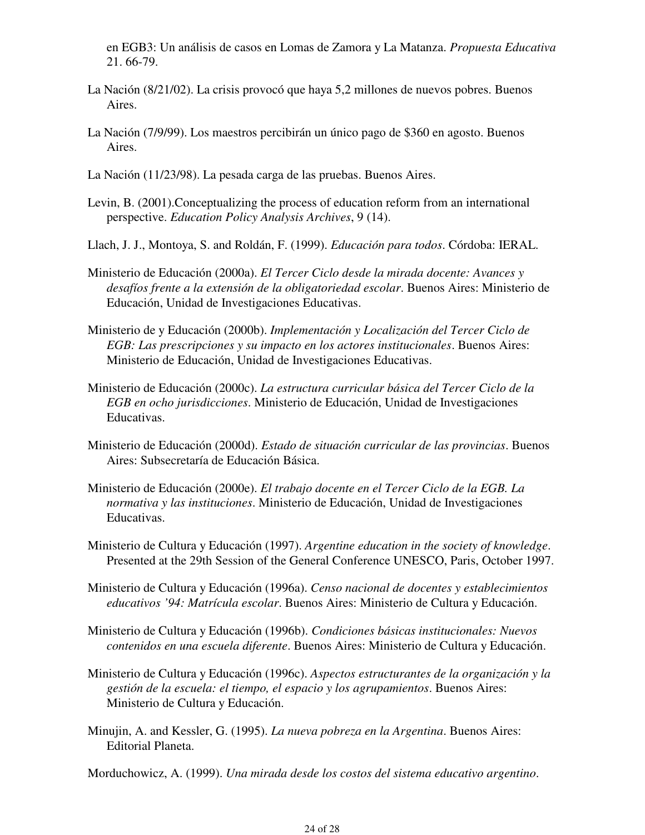en EGB3: Un análisis de casos en Lomas de Zamora y La Matanza. *Propuesta Educativa* 21. 66-79.

- La Nación (8/21/02). La crisis provocó que haya 5,2 millones de nuevos pobres. Buenos Aires.
- La Nación (7/9/99). Los maestros percibirán un único pago de \$360 en agosto. Buenos Aires.
- La Nación (11/23/98). La pesada carga de las pruebas. Buenos Aires.
- Levin, B. (2001).Conceptualizing the process of education reform from an international perspective. *Education Policy Analysis Archives*, 9 (14).
- Llach, J. J., Montoya, S. and Roldán, F. (1999). *Educación para todos*. Córdoba: IERAL.
- Ministerio de Educación (2000a). *El Tercer Ciclo desde la mirada docente: Avances y desafíos frente a la extensión de la obligatoriedad escolar*. Buenos Aires: Ministerio de Educación, Unidad de Investigaciones Educativas.
- Ministerio de y Educación (2000b). *Implementación y Localización del Tercer Ciclo de EGB: Las prescripciones y su impacto en los actores institucionales*. Buenos Aires: Ministerio de Educación, Unidad de Investigaciones Educativas.
- Ministerio de Educación (2000c). *La estructura curricular básica del Tercer Ciclo de la EGB en ocho jurisdicciones*. Ministerio de Educación, Unidad de Investigaciones Educativas.
- Ministerio de Educación (2000d). *Estado de situación curricular de las provincias*. Buenos Aires: Subsecretaría de Educación Básica.
- Ministerio de Educación (2000e). *El trabajo docente en el Tercer Ciclo de la EGB. La normativa y las instituciones*. Ministerio de Educación, Unidad de Investigaciones Educativas.
- Ministerio de Cultura y Educación (1997). *Argentine education in the society of knowledge*. Presented at the 29th Session of the General Conference UNESCO, Paris, October 1997.
- Ministerio de Cultura y Educación (1996a). *Censo nacional de docentes y establecimientos educativos '94: Matrícula escolar*. Buenos Aires: Ministerio de Cultura y Educación.
- Ministerio de Cultura y Educación (1996b). *Condiciones básicas institucionales: Nuevos contenidos en una escuela diferente*. Buenos Aires: Ministerio de Cultura y Educación.
- Ministerio de Cultura y Educación (1996c). *Aspectos estructurantes de la organización y la gestión de la escuela: el tiempo, el espacio y los agrupamientos*. Buenos Aires: Ministerio de Cultura y Educación.
- Minujin, A. and Kessler, G. (1995). *La nueva pobreza en la Argentina*. Buenos Aires: Editorial Planeta.
- Morduchowicz, A. (1999). *Una mirada desde los costos del sistema educativo argentino*.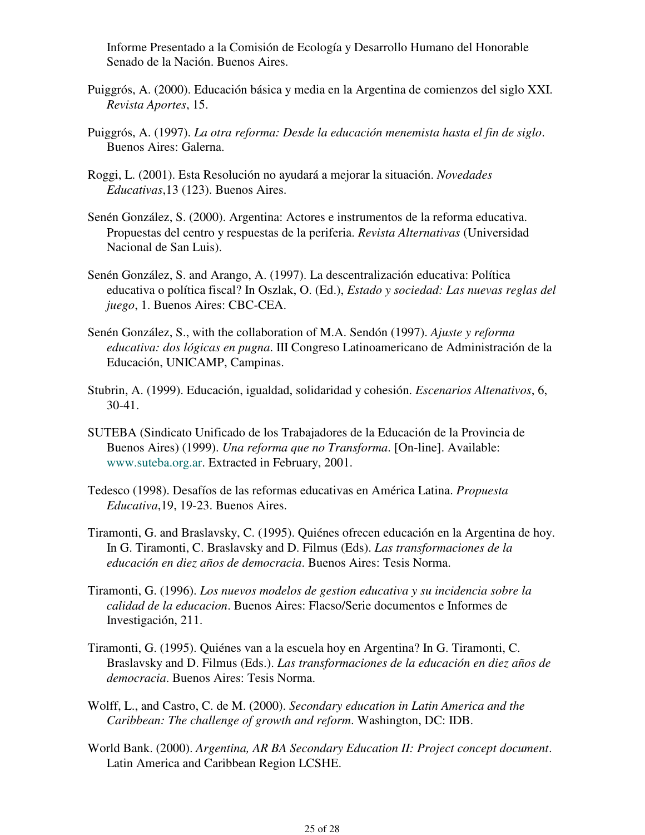Informe Presentado a la Comisión de Ecología y Desarrollo Humano del Honorable Senado de la Nación. Buenos Aires.

- Puiggrós, A. (2000). Educación básica y media en la Argentina de comienzos del siglo XXI. *Revista Aportes*, 15.
- Puiggrós, A. (1997). *La otra reforma: Desde la educación menemista hasta el fin de siglo*. Buenos Aires: Galerna.
- Roggi, L. (2001). Esta Resolución no ayudará a mejorar la situación. *Novedades Educativas*,13 (123). Buenos Aires.
- Senén González, S. (2000). Argentina: Actores e instrumentos de la reforma educativa. Propuestas del centro y respuestas de la periferia. *Revista Alternativas* (Universidad Nacional de San Luis).
- Senén González, S. and Arango, A. (1997). La descentralización educativa: Política educativa o política fiscal? In Oszlak, O. (Ed.), *Estado y sociedad: Las nuevas reglas del juego*, 1. Buenos Aires: CBC-CEA.
- Senén González, S., with the collaboration of M.A. Sendón (1997). *Ajuste y reforma educativa: dos lógicas en pugna*. III Congreso Latinoamericano de Administración de la Educación, UNICAMP, Campinas.
- Stubrin, A. (1999). Educación, igualdad, solidaridad y cohesión. *Escenarios Altenativos*, 6, 30-41.
- SUTEBA (Sindicato Unificado de los Trabajadores de la Educación de la Provincia de Buenos Aires) (1999). *Una reforma que no Transforma*. [On-line]. Available: www.suteba.org.ar. Extracted in February, 2001.
- Tedesco (1998). Desafíos de las reformas educativas en América Latina. *Propuesta Educativa*,19, 19-23. Buenos Aires.
- Tiramonti, G. and Braslavsky, C. (1995). Quiénes ofrecen educación en la Argentina de hoy. In G. Tiramonti, C. Braslavsky and D. Filmus (Eds). *Las transformaciones de la educación en diez años de democracia*. Buenos Aires: Tesis Norma.
- Tiramonti, G. (1996). *Los nuevos modelos de gestion educativa y su incidencia sobre la calidad de la educacion*. Buenos Aires: Flacso/Serie documentos e Informes de Investigación, 211.
- Tiramonti, G. (1995). Quiénes van a la escuela hoy en Argentina? In G. Tiramonti, C. Braslavsky and D. Filmus (Eds.). *Las transformaciones de la educación en diez años de democracia*. Buenos Aires: Tesis Norma.
- Wolff, L., and Castro, C. de M. (2000). *Secondary education in Latin America and the Caribbean: The challenge of growth and reform*. Washington, DC: IDB.
- World Bank. (2000). *Argentina, AR BA Secondary Education II: Project concept document*. Latin America and Caribbean Region LCSHE.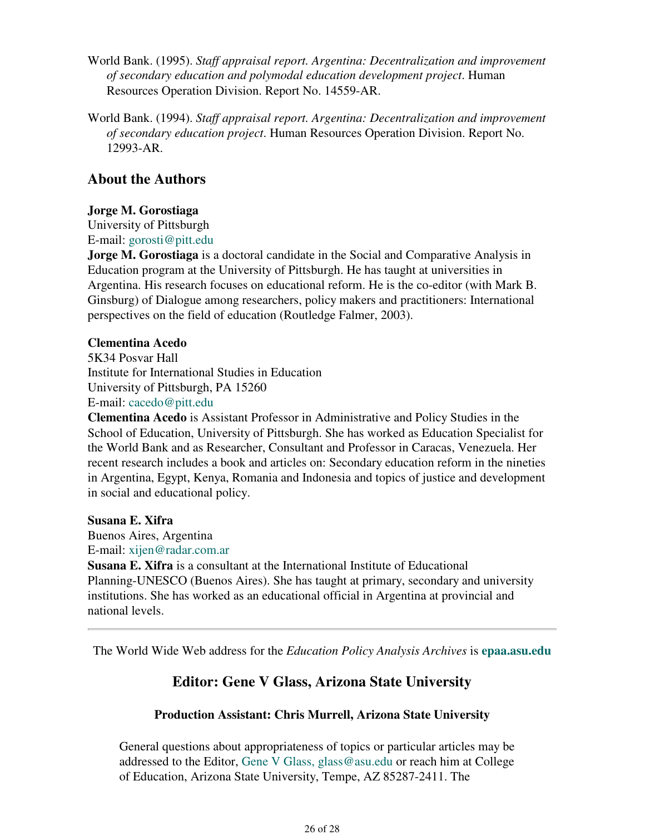- World Bank. (1995). *Staff appraisal report. Argentina: Decentralization and improvement of secondary education and polymodal education development project*. Human Resources Operation Division. Report No. 14559-AR.
- World Bank. (1994). *Staff appraisal report. Argentina: Decentralization and improvement of secondary education project*. Human Resources Operation Division. Report No. 12993-AR.

## **About the Authors**

### **Jorge M. Gorostiaga**

University of Pittsburgh E-mail: gorosti@pitt.edu

**Jorge M. Gorostiaga** is a doctoral candidate in the Social and Comparative Analysis in Education program at the University of Pittsburgh. He has taught at universities in Argentina. His research focuses on educational reform. He is the co-editor (with Mark B. Ginsburg) of Dialogue among researchers, policy makers and practitioners: International perspectives on the field of education (Routledge Falmer, 2003).

### **Clementina Acedo**

5K34 Posvar Hall Institute for International Studies in Education University of Pittsburgh, PA 15260 E-mail: cacedo@pitt.edu

**Clementina Acedo** is Assistant Professor in Administrative and Policy Studies in the School of Education, University of Pittsburgh. She has worked as Education Specialist for the World Bank and as Researcher, Consultant and Professor in Caracas, Venezuela. Her recent research includes a book and articles on: Secondary education reform in the nineties in Argentina, Egypt, Kenya, Romania and Indonesia and topics of justice and development in social and educational policy.

### **Susana E. Xifra**

Buenos Aires, Argentina E-mail: xijen@radar.com.ar

**Susana E. Xifra** is a consultant at the International Institute of Educational Planning-UNESCO (Buenos Aires). She has taught at primary, secondary and university institutions. She has worked as an educational official in Argentina at provincial and national levels.

The World Wide Web address for the *Education Policy Analysis Archives* is **epaa.asu.edu**

# **Editor: Gene V Glass, Arizona State University**

## **Production Assistant: Chris Murrell, Arizona State University**

General questions about appropriateness of topics or particular articles may be addressed to the Editor, Gene V Glass, glass@asu.edu or reach him at College of Education, Arizona State University, Tempe, AZ 85287-2411. The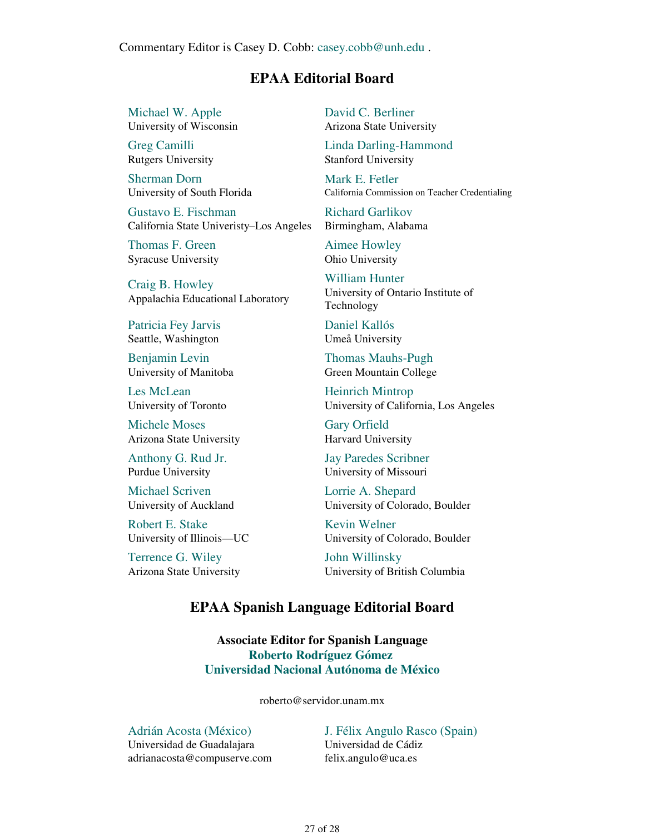Commentary Editor is Casey D. Cobb: casey.cobb@unh.edu .

### **EPAA Editorial Board**

Michael W. Apple University of Wisconsin

Greg Camilli Rutgers University

Sherman Dorn University of South Florida

Gustavo E. Fischman California State Univeristy–Los Angeles

Thomas F. Green Syracuse University

Craig B. Howley Appalachia Educational Laboratory

Patricia Fey Jarvis Seattle, Washington

Benjamin Levin University of Manitoba

Les McLean University of Toronto

Michele Moses Arizona State University

Anthony G. Rud Jr. Purdue University

Michael Scriven University of Auckland

Robert E. Stake University of Illinois—UC

Terrence G. Wiley Arizona State University David C. Berliner Arizona State University

Linda Darling-Hammond Stanford University

Mark E. Fetler California Commission on Teacher Credentialing

Richard Garlikov Birmingham, Alabama

Aimee Howley Ohio University

William Hunter University of Ontario Institute of Technology

Daniel Kallós Umeå University

Thomas Mauhs-Pugh Green Mountain College

Heinrich Mintrop University of California, Los Angeles

Gary Orfield Harvard University

Jay Paredes Scribner University of Missouri

Lorrie A. Shepard University of Colorado, Boulder

Kevin Welner University of Colorado, Boulder

John Willinsky University of British Columbia

## **EPAA Spanish Language Editorial Board**

**Associate Editor for Spanish Language Roberto Rodríguez Gómez Universidad Nacional Autónoma de México**

roberto@servidor.unam.mx

#### Adrián Acosta (México)

Universidad de Guadalajara adrianacosta@compuserve.com J. Félix Angulo Rasco (Spain) Universidad de Cádiz felix.angulo@uca.es